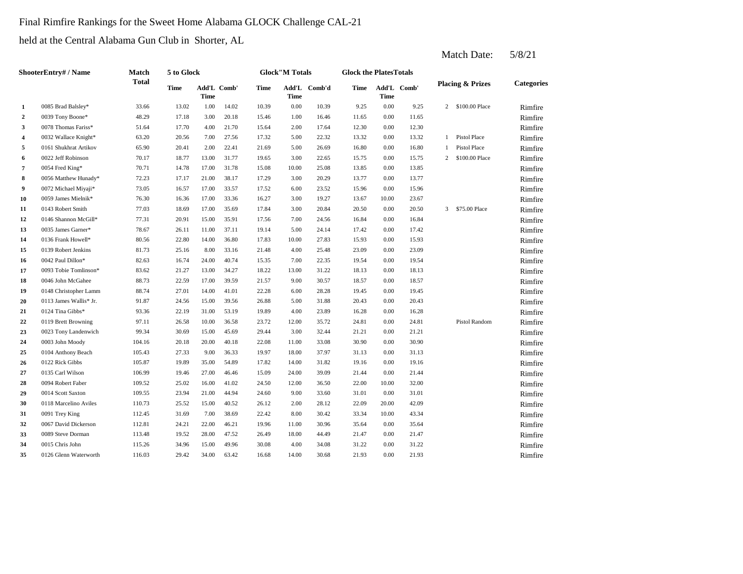#### Final Rimfire Rankings for the Sweet Home Alabama GLOCK Challenge CAL-21

held at the Central Alabama Gun Club in Shorter, AL

|                         | <b>ShooterEntry#/Name</b> | Match  | 5 to Glock  |             |             |       | <b>Glock"M Totals</b> |              | <b>Glock the PlatesTotals</b> |       |             |    |                             |                   |
|-------------------------|---------------------------|--------|-------------|-------------|-------------|-------|-----------------------|--------------|-------------------------------|-------|-------------|----|-----------------------------|-------------------|
|                         | 0085 Brad Balsley*        | Total  | <b>Time</b> | <b>Time</b> | Add'L Comb' | Time  | Time                  | Add'L Comb'd | Time                          | Time  | Add'L Comb' |    | <b>Placing &amp; Prizes</b> | <b>Categories</b> |
| 1                       |                           | 33.66  | 13.02       | 1.00        | 14.02       | 10.39 | 0.00                  | 10.39        | 9.25                          | 0.00  | 9.25        |    | 2 \$100.00 Place            | Rimfire           |
| $\overline{a}$          | 0039 Tony Boone*          | 48.29  | 17.18       | 3.00        | 20.18       | 15.46 | 1.00                  | 16.46        | 11.65                         | 0.00  | 11.65       |    |                             | Rimfire           |
| 3                       | 0078 Thomas Fariss*       | 51.64  | 17.70       | 4.00        | 21.70       | 15.64 | 2.00                  | 17.64        | 12.30                         | 0.00  | 12.30       |    |                             | Rimfire           |
| $\overline{\mathbf{4}}$ | 0032 Wallace Knight*      | 63.20  | 20.56       | 7.00        | 27.56       | 17.32 | 5.00                  | 22.32        | 13.32                         | 0.00  | 13.32       | 1  | <b>Pistol Place</b>         | Rimfire           |
| 5                       | 0161 Shukhrat Artikov     | 65.90  | 20.41       | 2.00        | 22.41       | 21.69 | 5.00                  | 26.69        | 16.80                         | 0.00  | 16.80       | -1 | <b>Pistol Place</b>         | Rimfire           |
| 6                       | 0022 Jeff Robinson        | 70.17  | 18.77       | 13.00       | 31.77       | 19.65 | 3.00                  | 22.65        | 15.75                         | 0.00  | 15.75       | 2  | \$100.00 Place              | Rimfire           |
| 7                       | 0054 Fred King*           | 70.71  | 14.78       | 17.00       | 31.78       | 15.08 | 10.00                 | 25.08        | 13.85                         | 0.00  | 13.85       |    |                             | Rimfire           |
| 8                       | 0056 Matthew Hunady*      | 72.23  | 17.17       | 21.00       | 38.17       | 17.29 | 3.00                  | 20.29        | 13.77                         | 0.00  | 13.77       |    |                             | Rimfire           |
| 9                       | 0072 Michael Miyaji*      | 73.05  | 16.57       | 17.00       | 33.57       | 17.52 | 6.00                  | 23.52        | 15.96                         | 0.00  | 15.96       |    |                             | Rimfire           |
| 10                      | 0059 James Mielnik*       | 76.30  | 16.36       | 17.00       | 33.36       | 16.27 | 3.00                  | 19.27        | 13.67                         | 10.00 | 23.67       |    |                             | Rimfire           |
| 11                      | 0143 Robert Smith         | 77.03  | 18.69       | 17.00       | 35.69       | 17.84 | 3.00                  | 20.84        | 20.50                         | 0.00  | 20.50       |    | 3 \$75.00 Place             | Rimfire           |
| 12                      | 0146 Shannon McGill*      | 77.31  | 20.91       | 15.00       | 35.91       | 17.56 | 7.00                  | 24.56        | 16.84                         | 0.00  | 16.84       |    |                             | Rimfire           |
| 13                      | 0035 James Garner*        | 78.67  | 26.11       | 11.00       | 37.11       | 19.14 | 5.00                  | 24.14        | 17.42                         | 0.00  | 17.42       |    |                             | Rimfire           |
| 14                      | 0136 Frank Howell*        | 80.56  | 22.80       | 14.00       | 36.80       | 17.83 | 10.00                 | 27.83        | 15.93                         | 0.00  | 15.93       |    |                             | Rimfire           |
| 15                      | 0139 Robert Jenkins       | 81.73  | 25.16       | 8.00        | 33.16       | 21.48 | 4.00                  | 25.48        | 23.09                         | 0.00  | 23.09       |    |                             | Rimfire           |
| 16                      | 0042 Paul Dillon*         | 82.63  | 16.74       | 24.00       | 40.74       | 15.35 | 7.00                  | 22.35        | 19.54                         | 0.00  | 19.54       |    |                             | Rimfire           |
| 17                      | 0093 Tobie Tomlinson*     | 83.62  | 21.27       | 13.00       | 34.27       | 18.22 | 13.00                 | 31.22        | 18.13                         | 0.00  | 18.13       |    |                             | Rimfire           |
| 18                      | 0046 John McGahee         | 88.73  | 22.59       | 17.00       | 39.59       | 21.57 | 9.00                  | 30.57        | 18.57                         | 0.00  | 18.57       |    |                             | Rimfire           |
| 19                      | 0148 Christopher Lamm     | 88.74  | 27.01       | 14.00       | 41.01       | 22.28 | 6.00                  | 28.28        | 19.45                         | 0.00  | 19.45       |    |                             | Rimfire           |
| 20                      | 0113 James Wallis* Jr.    | 91.87  | 24.56       | 15.00       | 39.56       | 26.88 | 5.00                  | 31.88        | 20.43                         | 0.00  | 20.43       |    |                             | Rimfire           |
| 21                      | 0124 Tina Gibbs*          | 93.36  | 22.19       | 31.00       | 53.19       | 19.89 | 4.00                  | 23.89        | 16.28                         | 0.00  | 16.28       |    |                             | Rimfire           |
| 22                      | 0119 Brett Browning       | 97.11  | 26.58       | 10.00       | 36.58       | 23.72 | 12.00                 | 35.72        | 24.81                         | 0.00  | 24.81       |    | Pistol Random               | Rimfire           |
| 23                      | 0023 Tony Landenwich      | 99.34  | 30.69       | 15.00       | 45.69       | 29.44 | 3.00                  | 32.44        | 21.21                         | 0.00  | 21.21       |    |                             | Rimfire           |
| 24                      | 0003 John Moody           | 104.16 | 20.18       | 20.00       | 40.18       | 22.08 | 11.00                 | 33.08        | 30.90                         | 0.00  | 30.90       |    |                             | Rimfire           |
| 25                      | 0104 Anthony Beach        | 105.43 | 27.33       | 9.00        | 36.33       | 19.97 | 18.00                 | 37.97        | 31.13                         | 0.00  | 31.13       |    |                             | Rimfire           |
| 26                      | 0122 Rick Gibbs           | 105.87 | 19.89       | 35.00       | 54.89       | 17.82 | 14.00                 | 31.82        | 19.16                         | 0.00  | 19.16       |    |                             | Rimfire           |
| 27                      | 0135 Carl Wilson          | 106.99 | 19.46       | 27.00       | 46.46       | 15.09 | 24.00                 | 39.09        | 21.44                         | 0.00  | 21.44       |    |                             | Rimfire           |
| 28                      | 0094 Robert Faber         | 109.52 | 25.02       | 16.00       | 41.02       | 24.50 | 12.00                 | 36.50        | 22.00                         | 10.00 | 32.00       |    |                             | Rimfire           |
| 29                      | 0014 Scott Saxton         | 109.55 | 23.94       | 21.00       | 44.94       | 24.60 | 9.00                  | 33.60        | 31.01                         | 0.00  | 31.01       |    |                             | Rimfire           |
| 30                      | 0118 Marcelino Aviles     | 110.73 | 25.52       | 15.00       | 40.52       | 26.12 | 2.00                  | 28.12        | 22.09                         | 20.00 | 42.09       |    |                             | Rimfire           |
| 31                      | 0091 Trey King            | 112.45 | 31.69       | 7.00        | 38.69       | 22.42 | 8.00                  | 30.42        | 33.34                         | 10.00 | 43.34       |    |                             | Rimfire           |
| 32                      | 0067 David Dickerson      | 112.81 | 24.21       | 22.00       | 46.21       | 19.96 | 11.00                 | 30.96        | 35.64                         | 0.00  | 35.64       |    |                             | Rimfire           |
| 33                      | 0089 Steve Dorman         | 113.48 | 19.52       | 28.00       | 47.52       | 26.49 | 18.00                 | 44.49        | 21.47                         | 0.00  | 21.47       |    |                             | Rimfire           |
| 34                      | 0015 Chris John           | 115.26 | 34.96       | 15.00       | 49.96       | 30.08 | 4.00                  | 34.08        | 31.22                         | 0.00  | 31.22       |    |                             | Rimfire           |
| 35                      | 0126 Glenn Waterworth     | 116.03 | 29.42       | 34.00       | 63.42       | 16.68 | 14.00                 | 30.68        | 21.93                         | 0.00  | 21.93       |    |                             | Rimfire           |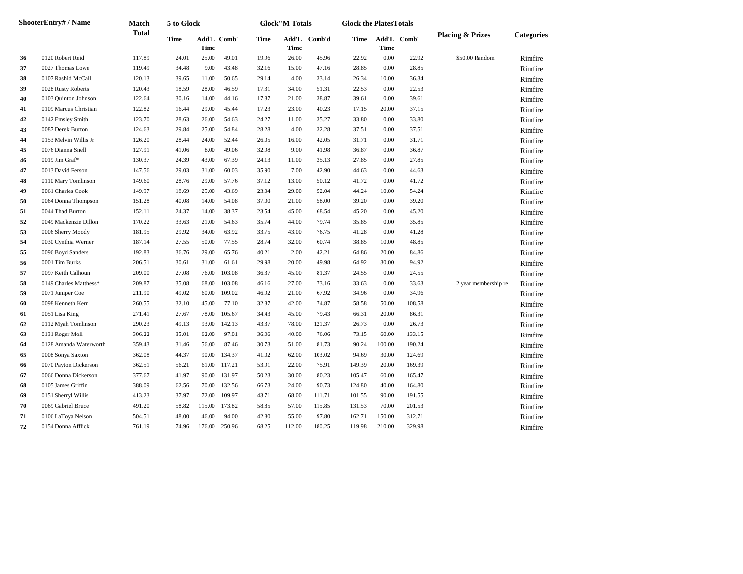|    | ShooterEntry# / Name   | Match        | 5 to Glock |             |             |       | <b>Glock"M Totals</b> |              | <b>Glock the PlatesTotals</b> |             |             |                             |                   |
|----|------------------------|--------------|------------|-------------|-------------|-------|-----------------------|--------------|-------------------------------|-------------|-------------|-----------------------------|-------------------|
|    |                        | <b>Total</b> | Time       | <b>Time</b> | Add'L Comb' | Time  | Time                  | Add'L Comb'd | Time                          | <b>Time</b> | Add'L Comb' | <b>Placing &amp; Prizes</b> | <b>Categories</b> |
| 36 | 0120 Robert Reid       | 117.89       | 24.01      | 25.00       | 49.01       | 19.96 | 26.00                 | 45.96        | 22.92                         | 0.00        | 22.92       | \$50.00 Random              | Rimfire           |
| 37 | 0027 Thomas Lowe       | 119.49       | 34.48      | 9.00        | 43.48       | 32.16 | 15.00                 | 47.16        | 28.85                         | 0.00        | 28.85       |                             | Rimfire           |
| 38 | 0107 Rashid McCall     | 120.13       | 39.65      | 11.00       | 50.65       | 29.14 | 4.00                  | 33.14        | 26.34                         | 10.00       | 36.34       |                             | Rimfire           |
| 39 | 0028 Rusty Roberts     | 120.43       | 18.59      | 28.00       | 46.59       | 17.31 | 34.00                 | 51.31        | 22.53                         | 0.00        | 22.53       |                             | Rimfire           |
| 40 | 0103 Quinton Johnson   | 122.64       | 30.16      | 14.00       | 44.16       | 17.87 | 21.00                 | 38.87        | 39.61                         | 0.00        | 39.61       |                             | Rimfire           |
| 41 | 0109 Marcus Christian  | 122.82       | 16.44      | 29.00       | 45.44       | 17.23 | 23.00                 | 40.23        | 17.15                         | 20.00       | 37.15       |                             | Rimfire           |
| 42 | 0142 Emsley Smith      | 123.70       | 28.63      | 26.00       | 54.63       | 24.27 | 11.00                 | 35.27        | 33.80                         | 0.00        | 33.80       |                             | Rimfire           |
| 43 | 0087 Derek Burton      | 124.63       | 29.84      | 25.00       | 54.84       | 28.28 | 4.00                  | 32.28        | 37.51                         | 0.00        | 37.51       |                             | Rimfire           |
| 44 | 0153 Melvin Willis Jr  | 126.20       | 28.44      | 24.00       | 52.44       | 26.05 | 16.00                 | 42.05        | 31.71                         | 0.00        | 31.71       |                             | Rimfire           |
| 45 | 0076 Dianna Snell      | 127.91       | 41.06      | 8.00        | 49.06       | 32.98 | 9.00                  | 41.98        | 36.87                         | 0.00        | 36.87       |                             | Rimfire           |
| 46 | 0019 Jim Graf*         | 130.37       | 24.39      | 43.00       | 67.39       | 24.13 | 11.00                 | 35.13        | 27.85                         | 0.00        | 27.85       |                             | Rimfire           |
| 47 | 0013 David Ferson      | 147.56       | 29.03      | 31.00       | 60.03       | 35.90 | 7.00                  | 42.90        | 44.63                         | 0.00        | 44.63       |                             | Rimfire           |
| 48 | 0110 Mary Tomlinson    | 149.60       | 28.76      | 29.00       | 57.76       | 37.12 | 13.00                 | 50.12        | 41.72                         | 0.00        | 41.72       |                             | Rimfire           |
| 49 | 0061 Charles Cook      | 149.97       | 18.69      | 25.00       | 43.69       | 23.04 | 29.00                 | 52.04        | 44.24                         | 10.00       | 54.24       |                             | Rimfire           |
| 50 | 0064 Donna Thompson    | 151.28       | 40.08      | 14.00       | 54.08       | 37.00 | 21.00                 | 58.00        | 39.20                         | 0.00        | 39.20       |                             | Rimfire           |
| 51 | 0044 Thad Burton       | 152.11       | 24.37      | 14.00       | 38.37       | 23.54 | 45.00                 | 68.54        | 45.20                         | 0.00        | 45.20       |                             | Rimfire           |
| 52 | 0049 Mackenzie Dillon  | 170.22       | 33.63      | 21.00       | 54.63       | 35.74 | 44.00                 | 79.74        | 35.85                         | 0.00        | 35.85       |                             | Rimfire           |
| 53 | 0006 Sherry Moody      | 181.95       | 29.92      | 34.00       | 63.92       | 33.75 | 43.00                 | 76.75        | 41.28                         | 0.00        | 41.28       |                             | Rimfire           |
| 54 | 0030 Cynthia Werner    | 187.14       | 27.55      | 50.00       | 77.55       | 28.74 | 32.00                 | 60.74        | 38.85                         | 10.00       | 48.85       |                             | Rimfire           |
| 55 | 0096 Boyd Sanders      | 192.83       | 36.76      | 29.00       | 65.76       | 40.21 | 2.00                  | 42.21        | 64.86                         | 20.00       | 84.86       |                             | Rimfire           |
| 56 | 0001 Tim Burks         | 206.51       | 30.61      | 31.00       | 61.61       | 29.98 | 20.00                 | 49.98        | 64.92                         | 30.00       | 94.92       |                             | Rimfire           |
| 57 | 0097 Keith Calhoun     | 209.00       | 27.08      | 76.00       | 103.08      | 36.37 | 45.00                 | 81.37        | 24.55                         | 0.00        | 24.55       |                             | Rimfire           |
| 58 | 0149 Charles Matthess* | 209.87       | 35.08      | 68.00       | 103.08      | 46.16 | 27.00                 | 73.16        | 33.63                         | 0.00        | 33.63       | 2 year membership re        | Rimfire           |
| 59 | 0071 Juniper Coe       | 211.90       | 49.02      | 60.00       | 109.02      | 46.92 | 21.00                 | 67.92        | 34.96                         | 0.00        | 34.96       |                             | Rimfire           |
| 60 | 0098 Kenneth Kerr      | 260.55       | 32.10      | 45.00       | 77.10       | 32.87 | 42.00                 | 74.87        | 58.58                         | 50.00       | 108.58      |                             | Rimfire           |
| 61 | 0051 Lisa King         | 271.41       | 27.67      | 78.00       | 105.67      | 34.43 | 45.00                 | 79.43        | 66.31                         | 20.00       | 86.31       |                             | Rimfire           |
| 62 | 0112 Myah Tomlinson    | 290.23       | 49.13      | 93.00       | 142.13      | 43.37 | 78.00                 | 121.37       | 26.73                         | 0.00        | 26.73       |                             | Rimfire           |
| 63 | 0131 Roger Moll        | 306.22       | 35.01      | 62.00       | 97.01       | 36.06 | 40.00                 | 76.06        | 73.15                         | 60.00       | 133.15      |                             | Rimfire           |
| 64 | 0128 Amanda Waterworth | 359.43       | 31.46      | 56.00       | 87.46       | 30.73 | 51.00                 | 81.73        | 90.24                         | 100.00      | 190.24      |                             | Rimfire           |
| 65 | 0008 Sonya Saxton      | 362.08       | 44.37      | 90.00       | 134.37      | 41.02 | 62.00                 | 103.02       | 94.69                         | 30.00       | 124.69      |                             | Rimfire           |
| 66 | 0070 Payton Dickerson  | 362.51       | 56.21      | 61.00       | 117.21      | 53.91 | 22.00                 | 75.91        | 149.39                        | 20.00       | 169.39      |                             | Rimfire           |
| 67 | 0066 Donna Dickerson   | 377.67       | 41.97      | 90.00       | 131.97      | 50.23 | 30.00                 | 80.23        | 105.47                        | 60.00       | 165.47      |                             | Rimfire           |
| 68 | 0105 James Griffin     | 388.09       | 62.56      | 70.00       | 132.56      | 66.73 | 24.00                 | 90.73        | 124.80                        | 40.00       | 164.80      |                             | Rimfire           |
| 69 | 0151 Sherryl Willis    | 413.23       | 37.97      | 72.00       | 109.97      | 43.71 | 68.00                 | 111.71       | 101.55                        | 90.00       | 191.55      |                             | Rimfire           |
| 70 | 0069 Gabriel Bruce     | 491.20       | 58.82      | 115.00      | 173.82      | 58.85 | 57.00                 | 115.85       | 131.53                        | 70.00       | 201.53      |                             | Rimfire           |
| 71 | 0106 LaToya Nelson     | 504.51       | 48.00      | 46.00       | 94.00       | 42.80 | 55.00                 | 97.80        | 162.71                        | 150.00      | 312.71      |                             | Rimfire           |
| 72 | 0154 Donna Afflick     | 761.19       | 74.96      | 176.00      | 250.96      | 68.25 | 112.00                | 180.25       | 119.98                        | 210.00      | 329.98      |                             | Rimfire           |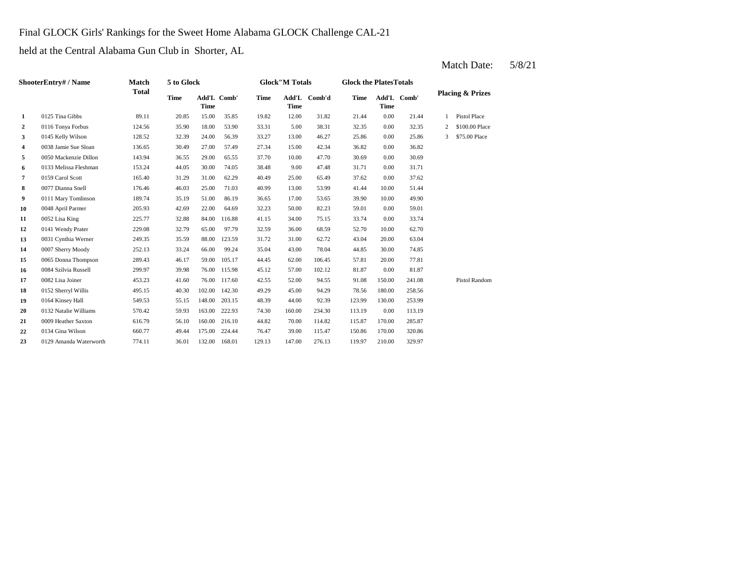#### Final GLOCK Girls' Rankings for the Sweet Home Alabama GLOCK Challenge CAL-21

held at the Central Alabama Gun Club in Shorter, AL

|                  | <b>ShooterEntry# / Name</b> | Match        | 5 to Glock  |                            |        |             | <b>Glock"M Totals</b> |        | <b>Glock the PlatesTotals</b> |             |             |                |                             |
|------------------|-----------------------------|--------------|-------------|----------------------------|--------|-------------|-----------------------|--------|-------------------------------|-------------|-------------|----------------|-----------------------------|
|                  |                             | <b>Total</b> | <b>Time</b> | Add'L Comb'<br><b>Time</b> |        | <b>Time</b> | Add'L<br><b>Time</b>  | Comb'd | <b>Time</b>                   | <b>Time</b> | Add'L Comb' |                | <b>Placing &amp; Prizes</b> |
| $\mathbf{1}$     | 0125 Tina Gibbs             | 89.11        | 20.85       | 15.00                      | 35.85  | 19.82       | 12.00                 | 31.82  | 21.44                         | 0.00        | 21.44       |                | Pistol Place                |
| $\boldsymbol{2}$ | 0116 Tonya Forbus           | 124.56       | 35.90       | 18.00                      | 53.90  | 33.31       | 5.00                  | 38.31  | 32.35                         | 0.00        | 32.35       | $\overline{c}$ | \$100.00 Place              |
| 3                | 0145 Kelly Wilson           | 128.52       | 32.39       | 24.00                      | 56.39  | 33.27       | 13.00                 | 46.27  | 25.86                         | 0.00        | 25.86       | 3              | \$75.00 Place               |
| 4                | 0038 Jamie Sue Sloan        | 136.65       | 30.49       | 27.00                      | 57.49  | 27.34       | 15.00                 | 42.34  | 36.82                         | 0.00        | 36.82       |                |                             |
| 5                | 0050 Mackenzie Dillon       | 143.94       | 36.55       | 29.00                      | 65.55  | 37.70       | 10.00                 | 47.70  | 30.69                         | 0.00        | 30.69       |                |                             |
| 6                | 0133 Melissa Fleshman       | 153.24       | 44.05       | 30.00                      | 74.05  | 38.48       | 9.00                  | 47.48  | 31.71                         | 0.00        | 31.71       |                |                             |
| 7                | 0159 Carol Scott            | 165.40       | 31.29       | 31.00                      | 62.29  | 40.49       | 25.00                 | 65.49  | 37.62                         | 0.00        | 37.62       |                |                             |
| 8                | 0077 Dianna Snell           | 176.46       | 46.03       | 25.00                      | 71.03  | 40.99       | 13.00                 | 53.99  | 41.44                         | 10.00       | 51.44       |                |                             |
| 9                | 0111 Mary Tomlinson         | 189.74       | 35.19       | 51.00                      | 86.19  | 36.65       | 17.00                 | 53.65  | 39.90                         | 10.00       | 49.90       |                |                             |
| 10               | 0048 April Parmer           | 205.93       | 42.69       | 22.00                      | 64.69  | 32.23       | 50.00                 | 82.23  | 59.01                         | 0.00        | 59.01       |                |                             |
| 11               | 0052 Lisa King              | 225.77       | 32.88       | 84.00                      | 116.88 | 41.15       | 34.00                 | 75.15  | 33.74                         | 0.00        | 33.74       |                |                             |
| 12               | 0141 Wendy Prater           | 229.08       | 32.79       | 65.00                      | 97.79  | 32.59       | 36.00                 | 68.59  | 52.70                         | 10.00       | 62.70       |                |                             |
| 13               | 0031 Cynthia Werner         | 249.35       | 35.59       | 88.00                      | 123.59 | 31.72       | 31.00                 | 62.72  | 43.04                         | 20.00       | 63.04       |                |                             |
| 14               | 0007 Sherry Moody           | 252.13       | 33.24       | 66.00                      | 99.24  | 35.04       | 43.00                 | 78.04  | 44.85                         | 30.00       | 74.85       |                |                             |
| 15               | 0065 Donna Thompson         | 289.43       | 46.17       | 59.00                      | 105.17 | 44.45       | 62.00                 | 106.45 | 57.81                         | 20.00       | 77.81       |                |                             |
| 16               | 0084 Szilvia Russell        | 299.97       | 39.98       | 76.00                      | 115.98 | 45.12       | 57.00                 | 102.12 | 81.87                         | 0.00        | 81.87       |                |                             |
| 17               | 0082 Lisa Joiner            | 453.23       | 41.60       | 76.00                      | 117.60 | 42.55       | 52.00                 | 94.55  | 91.08                         | 150.00      | 241.08      |                | <b>Pistol Random</b>        |
| 18               | 0152 Sherryl Willis         | 495.15       | 40.30       | 102.00                     | 142.30 | 49.29       | 45.00                 | 94.29  | 78.56                         | 180.00      | 258.56      |                |                             |
| 19               | 0164 Kinsey Hall            | 549.53       | 55.15       | 148.00                     | 203.15 | 48.39       | 44.00                 | 92.39  | 123.99                        | 130.00      | 253.99      |                |                             |
| 20               | 0132 Natalie Williams       | 570.42       | 59.93       | 163.00                     | 222.93 | 74.30       | 160.00                | 234.30 | 113.19                        | 0.00        | 113.19      |                |                             |
| 21               | 0009 Heather Saxton         | 616.79       | 56.10       | 160.00                     | 216.10 | 44.82       | 70.00                 | 114.82 | 115.87                        | 170.00      | 285.87      |                |                             |
| 22               | 0134 Gina Wilson            | 660.77       | 49.44       | 175.00                     | 224.44 | 76.47       | 39.00                 | 115.47 | 150.86                        | 170.00      | 320.86      |                |                             |
| 23               | 0129 Amanda Waterworth      | 774.11       | 36.01       | 132.00                     | 168.01 | 129.13      | 147.00                | 276.13 | 119.97                        | 210.00      | 329.97      |                |                             |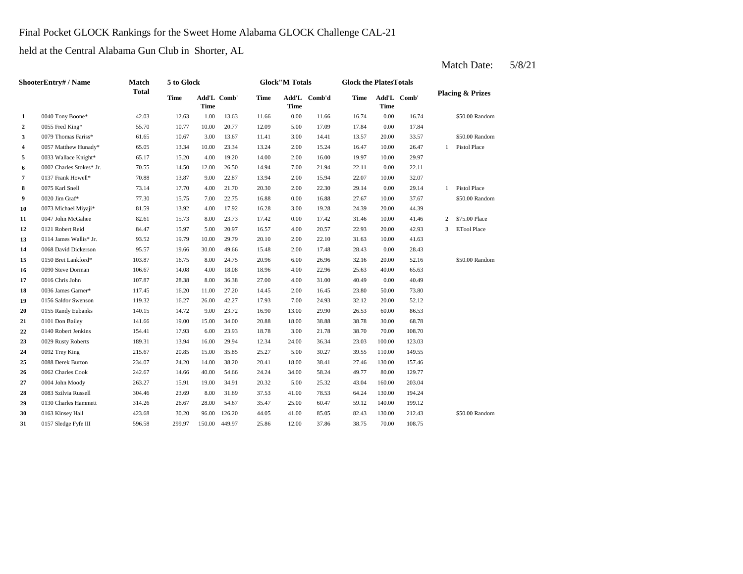### Final Pocket GLOCK Rankings for the Sweet Home Alabama GLOCK Challenge CAL-21

held at the Central Alabama Gun Club in Shorter, AL

|                | ShooterEntry# / Name     | Match<br><b>Total</b> | 5 to Glock  |             |             |       | <b>Glock</b> "M Totals |              | <b>Glock the PlatesTotals</b> |             |             |                |                             |
|----------------|--------------------------|-----------------------|-------------|-------------|-------------|-------|------------------------|--------------|-------------------------------|-------------|-------------|----------------|-----------------------------|
|                | 0040 Tony Boone*         |                       | <b>Time</b> | <b>Time</b> | Add'L Comb' | Time  | <b>Time</b>            | Add'L Comb'd | <b>Time</b>                   | <b>Time</b> | Add'L Comb' |                | <b>Placing &amp; Prizes</b> |
| $\mathbf{1}$   |                          | 42.03                 | 12.63       | 1.00        | 13.63       | 11.66 | 0.00                   | 11.66        | 16.74                         | 0.00        | 16.74       |                | \$50.00 Random              |
| $\overline{2}$ | 0055 Fred King*          | 55.70                 | 10.77       | 10.00       | 20.77       | 12.09 | 5.00                   | 17.09        | 17.84                         | 0.00        | 17.84       |                |                             |
| 3              | 0079 Thomas Fariss*      | 61.65                 | 10.67       | 3.00        | 13.67       | 11.41 | 3.00                   | 14.41        | 13.57                         | 20.00       | 33.57       |                | $\$50.00$ Random            |
| 4              | 0057 Matthew Hunady*     | 65.05                 | 13.34       | 10.00       | 23.34       | 13.24 | 2.00                   | 15.24        | 16.47                         | 10.00       | 26.47       | 1              | <b>Pistol Place</b>         |
| 5              | 0033 Wallace Knight*     | 65.17                 | 15.20       | 4.00        | 19.20       | 14.00 | 2.00                   | 16.00        | 19.97                         | 10.00       | 29.97       |                |                             |
| 6              | 0002 Charles Stokes* Jr. | 70.55                 | 14.50       | 12.00       | 26.50       | 14.94 | 7.00                   | 21.94        | 22.11                         | 0.00        | 22.11       |                |                             |
| 7              | 0137 Frank Howell*       | 70.88                 | 13.87       | 9.00        | 22.87       | 13.94 | 2.00                   | 15.94        | 22.07                         | 10.00       | 32.07       |                |                             |
| 8              | 0075 Karl Snell          | 73.14                 | 17.70       | 4.00        | 21.70       | 20.30 | 2.00                   | 22.30        | 29.14                         | 0.00        | 29.14       | $\mathbf{1}$   | <b>Pistol Place</b>         |
| 9              | 0020 Jim Graf*           | 77.30                 | 15.75       | 7.00        | 22.75       | 16.88 | 0.00                   | 16.88        | 27.67                         | 10.00       | 37.67       |                | \$50.00 Random              |
| 10             | 0073 Michael Miyaji*     | 81.59                 | 13.92       | 4.00        | 17.92       | 16.28 | 3.00                   | 19.28        | 24.39                         | 20.00       | 44.39       |                |                             |
| 11             | 0047 John McGahee        | 82.61                 | 15.73       | 8.00        | 23.73       | 17.42 | 0.00                   | 17.42        | 31.46                         | 10.00       | 41.46       | 2              | \$75.00 Place               |
| 12             | 0121 Robert Reid         | 84.47                 | 15.97       | 5.00        | 20.97       | 16.57 | 4.00                   | 20.57        | 22.93                         | 20.00       | 42.93       | $\overline{3}$ | <b>ETool Place</b>          |
| 13             | 0114 James Wallis* Jr.   | 93.52                 | 19.79       | 10.00       | 29.79       | 20.10 | 2.00                   | 22.10        | 31.63                         | 10.00       | 41.63       |                |                             |
| 14             | 0068 David Dickerson     | 95.57                 | 19.66       | 30.00       | 49.66       | 15.48 | 2.00                   | 17.48        | 28.43                         | 0.00        | 28.43       |                |                             |
| 15             | 0150 Bret Lankford*      | 103.87                | 16.75       | 8.00        | 24.75       | 20.96 | 6.00                   | 26.96        | 32.16                         | 20.00       | 52.16       |                | \$50.00 Random              |
| 16             | 0090 Steve Dorman        | 106.67                | 14.08       | 4.00        | 18.08       | 18.96 | 4.00                   | 22.96        | 25.63                         | 40.00       | 65.63       |                |                             |
| 17             | 0016 Chris John          | 107.87                | 28.38       | 8.00        | 36.38       | 27.00 | 4.00                   | 31.00        | 40.49                         | 0.00        | 40.49       |                |                             |
| 18             | 0036 James Garner*       | 117.45                | 16.20       | 11.00       | 27.20       | 14.45 | 2.00                   | 16.45        | 23.80                         | 50.00       | 73.80       |                |                             |
| 19             | 0156 Saldor Swenson      | 119.32                | 16.27       | 26.00       | 42.27       | 17.93 | 7.00                   | 24.93        | 32.12                         | 20.00       | 52.12       |                |                             |
| 20             | 0155 Randy Eubanks       | 140.15                | 14.72       | 9.00        | 23.72       | 16.90 | 13.00                  | 29.90        | 26.53                         | 60.00       | 86.53       |                |                             |
| 21             | 0101 Don Bailey          | 141.66                | 19.00       | 15.00       | 34.00       | 20.88 | 18.00                  | 38.88        | 38.78                         | 30.00       | 68.78       |                |                             |
| 22             | 0140 Robert Jenkins      | 154.41                | 17.93       | 6.00        | 23.93       | 18.78 | 3.00                   | 21.78        | 38.70                         | 70.00       | 108.70      |                |                             |
| 23             | 0029 Rusty Roberts       | 189.31                | 13.94       | 16.00       | 29.94       | 12.34 | 24.00                  | 36.34        | 23.03                         | 100.00      | 123.03      |                |                             |
| 24             | 0092 Trey King           | 215.67                | 20.85       | 15.00       | 35.85       | 25.27 | 5.00                   | 30.27        | 39.55                         | 110.00      | 149.55      |                |                             |
| 25             | 0088 Derek Burton        | 234.07                | 24.20       | 14.00       | 38.20       | 20.41 | 18.00                  | 38.41        | 27.46                         | 130.00      | 157.46      |                |                             |
| 26             | 0062 Charles Cook        | 242.67                | 14.66       | 40.00       | 54.66       | 24.24 | 34.00                  | 58.24        | 49.77                         | 80.00       | 129.77      |                |                             |
| 27             | 0004 John Moody          | 263.27                | 15.91       | 19.00       | 34.91       | 20.32 | 5.00                   | 25.32        | 43.04                         | 160.00      | 203.04      |                |                             |
| 28             | 0083 Szilvia Russell     | 304.46                | 23.69       | 8.00        | 31.69       | 37.53 | 41.00                  | 78.53        | 64.24                         | 130.00      | 194.24      |                |                             |
| 29             | 0130 Charles Hammett     | 314.26                | 26.67       | 28.00       | 54.67       | 35.47 | 25.00                  | 60.47        | 59.12                         | 140.00      | 199.12      |                |                             |
| 30             | 0163 Kinsey Hall         | 423.68                | 30.20       | 96.00       | 126.20      | 44.05 | 41.00                  | 85.05        | 82.43                         | 130.00      | 212.43      |                | \$50.00 Random              |
| 31             | 0157 Sledge Fyfe III     | 596.58                | 299.97      | 150.00      | 449.97      | 25.86 | 12.00                  | 37.86        | 38.75                         | 70.00       | 108.75      |                |                             |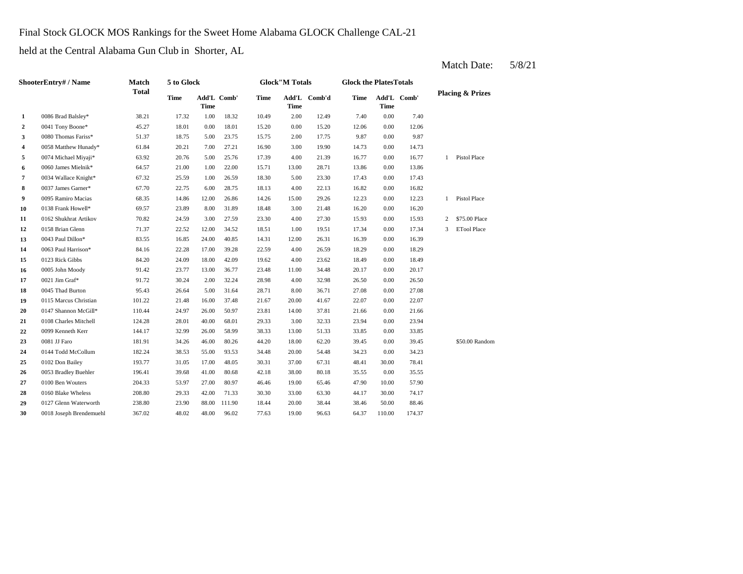### Final Stock GLOCK MOS Rankings for the Sweet Home Alabama GLOCK Challenge CAL-21

held at the Central Alabama Gun Club in Shorter, AL

|                  | <b>ShooterEntry#/Name</b> | <b>Match</b> | 5 to Glock  |             |             |             | <b>Glock"M Totals</b> |              | <b>Glock the PlatesTotals</b> |             |             |              |                             |
|------------------|---------------------------|--------------|-------------|-------------|-------------|-------------|-----------------------|--------------|-------------------------------|-------------|-------------|--------------|-----------------------------|
|                  |                           | <b>Total</b> | <b>Time</b> | <b>Time</b> | Add'L Comb' | <b>Time</b> | <b>Time</b>           | Add'L Comb'd | <b>Time</b>                   | <b>Time</b> | Add'L Comb' |              | <b>Placing &amp; Prizes</b> |
| $\mathbf{1}$     | 0086 Brad Balsley*        | 38.21        | 17.32       | 1.00        | 18.32       | 10.49       | 2.00                  | 12.49        | 7.40                          | 0.00        | 7.40        |              |                             |
| $\boldsymbol{2}$ | 0041 Tony Boone*          | 45.27        | 18.01       | 0.00        | 18.01       | 15.20       | 0.00                  | 15.20        | 12.06                         | 0.00        | 12.06       |              |                             |
| 3                | 0080 Thomas Fariss*       | 51.37        | 18.75       | 5.00        | 23.75       | 15.75       | 2.00                  | 17.75        | 9.87                          | 0.00        | 9.87        |              |                             |
| 4                | 0058 Matthew Hunady*      | 61.84        | 20.21       | 7.00        | 27.21       | 16.90       | 3.00                  | 19.90        | 14.73                         | 0.00        | 14.73       |              |                             |
| 5                | 0074 Michael Miyaji*      | 63.92        | 20.76       | 5.00        | 25.76       | 17.39       | 4.00                  | 21.39        | 16.77                         | 0.00        | 16.77       | $\mathbf{1}$ | Pistol Place                |
| 6                | 0060 James Mielnik*       | 64.57        | 21.00       | 1.00        | 22.00       | 15.71       | 13.00                 | 28.71        | 13.86                         | 0.00        | 13.86       |              |                             |
| 7                | 0034 Wallace Knight*      | 67.32        | 25.59       | 1.00        | 26.59       | 18.30       | 5.00                  | 23.30        | 17.43                         | 0.00        | 17.43       |              |                             |
| 8                | 0037 James Garner*        | 67.70        | 22.75       | 6.00        | 28.75       | 18.13       | 4.00                  | 22.13        | 16.82                         | 0.00        | 16.82       |              |                             |
| 9                | 0095 Ramiro Macias        | 68.35        | 14.86       | 12.00       | 26.86       | 14.26       | 15.00                 | 29.26        | 12.23                         | 0.00        | 12.23       | $\mathbf{1}$ | Pistol Place                |
| 10               | 0138 Frank Howell*        | 69.57        | 23.89       | 8.00        | 31.89       | 18.48       | 3.00                  | 21.48        | 16.20                         | 0.00        | 16.20       |              |                             |
| 11               | 0162 Shukhrat Artikov     | 70.82        | 24.59       | 3.00        | 27.59       | 23.30       | 4.00                  | 27.30        | 15.93                         | 0.00        | 15.93       | 2            | \$75,00 Place               |
| 12               | 0158 Brian Glenn          | 71.37        | 22.52       | 12.00       | 34.52       | 18.51       | 1.00                  | 19.51        | 17.34                         | 0.00        | 17.34       | 3            | <b>ETool Place</b>          |
| 13               | 0043 Paul Dillon*         | 83.55        | 16.85       | 24.00       | 40.85       | 14.31       | 12.00                 | 26.31        | 16.39                         | 0.00        | 16.39       |              |                             |
| 14               | 0063 Paul Harrison*       | 84.16        | 22.28       | 17.00       | 39.28       | 22.59       | 4.00                  | 26.59        | 18.29                         | 0.00        | 18.29       |              |                             |
| 15               | 0123 Rick Gibbs           | 84.20        | 24.09       | 18.00       | 42.09       | 19.62       | 4.00                  | 23.62        | 18.49                         | 0.00        | 18.49       |              |                             |
| 16               | 0005 John Moody           | 91.42        | 23.77       | 13.00       | 36.77       | 23.48       | 11.00                 | 34.48        | 20.17                         | 0.00        | 20.17       |              |                             |
| 17               | 0021 Jim Graf*            | 91.72        | 30.24       | 2.00        | 32.24       | 28.98       | 4.00                  | 32.98        | 26.50                         | 0.00        | 26.50       |              |                             |
| 18               | 0045 Thad Burton          | 95.43        | 26.64       | 5.00        | 31.64       | 28.71       | 8.00                  | 36.71        | 27.08                         | 0.00        | 27.08       |              |                             |
| 19               | 0115 Marcus Christian     | 101.22       | 21.48       | 16.00       | 37.48       | 21.67       | 20.00                 | 41.67        | 22.07                         | 0.00        | 22.07       |              |                             |
| 20               | 0147 Shannon McGill*      | 110.44       | 24.97       | 26.00       | 50.97       | 23.81       | 14.00                 | 37.81        | 21.66                         | 0.00        | 21.66       |              |                             |
| 21               | 0108 Charles Mitchell     | 124.28       | 28.01       | 40.00       | 68.01       | 29.33       | 3.00                  | 32.33        | 23.94                         | 0.00        | 23.94       |              |                             |
| 22               | 0099 Kenneth Kerr         | 144.17       | 32.99       | 26.00       | 58.99       | 38.33       | 13.00                 | 51.33        | 33.85                         | 0.00        | 33.85       |              |                             |
| 23               | 0081 JJ Faro              | 181.91       | 34.26       | 46.00       | 80.26       | 44.20       | 18.00                 | 62.20        | 39.45                         | 0.00        | 39.45       |              | \$50.00 Random              |
| 24               | 0144 Todd McCollum        | 182.24       | 38.53       | 55.00       | 93.53       | 34.48       | 20.00                 | 54.48        | 34.23                         | 0.00        | 34.23       |              |                             |
| 25               | 0102 Don Bailey           | 193.77       | 31.05       | 17.00       | 48.05       | 30.31       | 37.00                 | 67.31        | 48.41                         | 30.00       | 78.41       |              |                             |
| 26               | 0053 Bradley Buehler      | 196.41       | 39.68       | 41.00       | 80.68       | 42.18       | 38.00                 | 80.18        | 35.55                         | 0.00        | 35.55       |              |                             |
| 27               | 0100 Ben Wouters          | 204.33       | 53.97       | 27.00       | 80.97       | 46.46       | 19.00                 | 65.46        | 47.90                         | 10.00       | 57.90       |              |                             |
| 28               | 0160 Blake Wheless        | 208.80       | 29.33       | 42.00       | 71.33       | 30.30       | 33.00                 | 63.30        | 44.17                         | 30.00       | 74.17       |              |                             |
| 29               | 0127 Glenn Waterworth     | 238.80       | 23.90       | 88.00       | 111.90      | 18.44       | 20.00                 | 38.44        | 38.46                         | 50.00       | 88.46       |              |                             |
| 30               | 0018 Joseph Brendemuehl   | 367.02       | 48.02       | 48.00       | 96.02       | 77.63       | 19.00                 | 96.63        | 64.37                         | 110.00      | 174.37      |              |                             |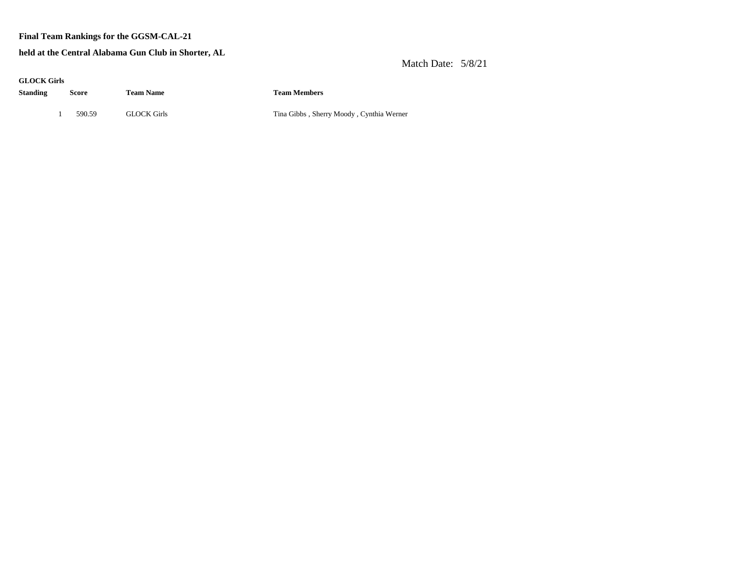#### **Final Team Rankings for the GGSM-CAL-21**

#### **held at the Central Alabama Gun Club in Shorter, AL**

| <b>GLOCK Girls</b><br>Standing | Score  | <b>Team Name</b>   | <b>Team Members</b>                      |
|--------------------------------|--------|--------------------|------------------------------------------|
|                                | 590.59 | <b>GLOCK Girls</b> | Tina Gibbs, Sherry Moody, Cynthia Werner |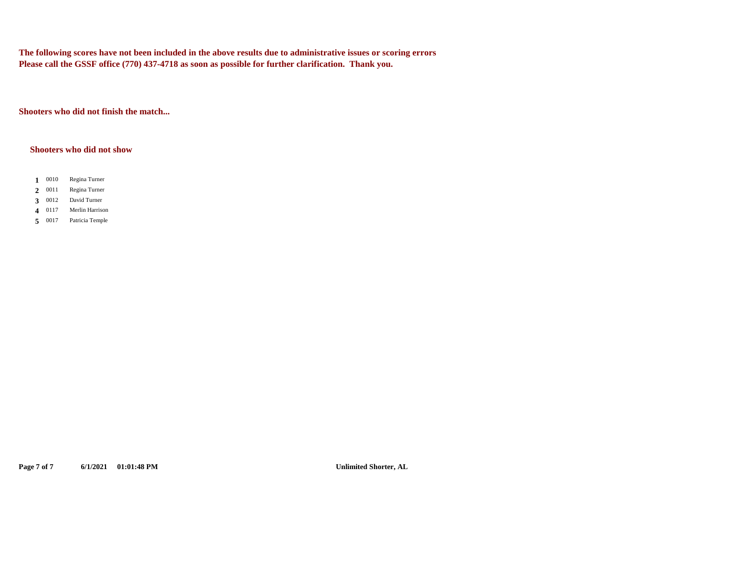**The following scores have not been included in the above results due to administrative issues or scoring errors Please call the GSSF office (770) 437-4718 as soon as possible for further clarification. Thank you.**

**Shooters who did not finish the match...**

#### **Shooters who did not show**

- 1 0010 **1** Regina Turner
- 2 0011 **2** Regina Turner
- 0012 **3** David Turner
- 4 0117 **4** Merlin Harrison
- 5 0017 **5** Patricia Temple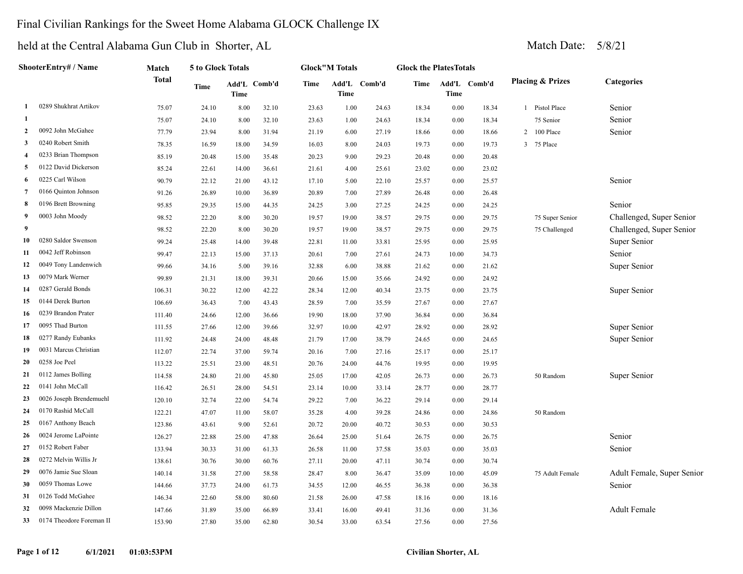### Final Civilian Rankings for the Sweet Home Alabama GLOCK Challenge IX

|                | ShooterEntry# / Name       | Match        | 5 to Glock Totals |       |              |             | <b>Glock"M Totals</b> |              | <b>Glock the PlatesTotals</b> |          |              |                |                             |                            |
|----------------|----------------------------|--------------|-------------------|-------|--------------|-------------|-----------------------|--------------|-------------------------------|----------|--------------|----------------|-----------------------------|----------------------------|
|                | 0289 Shukhrat Artikov<br>1 | <b>Total</b> | Time              | Time  | Add'L Comb'd | <b>Time</b> | Time                  | Add'L Comb'd | Time                          | Time     | Add'L Comb'd |                | <b>Placing &amp; Prizes</b> | <b>Categories</b>          |
|                |                            | 75.07        | 24.10             | 8.00  | 32.10        | 23.63       | 1.00                  | 24.63        | 18.34                         | 0.00     | 18.34        | $\mathbf{1}$   | Pistol Place                | Senior                     |
| 1              |                            | 75.07        | 24.10             | 8.00  | 32.10        | 23.63       | 1.00                  | 24.63        | 18.34                         | $0.00\,$ | 18.34        |                | 75 Senior                   | Senior                     |
| $\mathbf{2}$   | 0092 John McGahee          | 77.79        | 23.94             | 8.00  | 31.94        | 21.19       | 6.00                  | 27.19        | 18.66                         | 0.00     | 18.66        | $\overline{2}$ | $100\ \mathrm{Place}$       | Senior                     |
| 3              | 0240 Robert Smith          | 78.35        | 16.59             | 18.00 | 34.59        | 16.03       | 8.00                  | 24.03        | 19.73                         | 0.00     | 19.73        | 3              | 75 Place                    |                            |
| 4              | 0233 Brian Thompson        | 85.19        | 20.48             | 15.00 | 35.48        | 20.23       | 9.00                  | 29.23        | 20.48                         | 0.00     | 20.48        |                |                             |                            |
| 5              | 0122 David Dickerson       | 85.24        | 22.61             | 14.00 | 36.61        | 21.61       | 4.00                  | 25.61        | 23.02                         | 0.00     | 23.02        |                |                             |                            |
| 6              | 0225 Carl Wilson           | 90.79        | 22.12             | 21.00 | 43.12        | 17.10       | 5.00                  | 22.10        | 25.57                         | 0.00     | 25.57        |                |                             | Senior                     |
| $\overline{7}$ | 0166 Quinton Johnson       | 91.26        | 26.89             | 10.00 | 36.89        | 20.89       | 7.00                  | 27.89        | 26.48                         | 0.00     | 26.48        |                |                             |                            |
| 8              | 0196 Brett Browning        | 95.85        | 29.35             | 15.00 | 44.35        | 24.25       | 3.00                  | 27.25        | 24.25                         | 0.00     | 24.25        |                |                             | Senior                     |
| 9              | 0003 John Moody            | 98.52        | 22.20             | 8.00  | 30.20        | 19.57       | 19.00                 | 38.57        | 29.75                         | 0.00     | 29.75        |                | 75 Super Senior             | Challenged, Super Senior   |
| 9              |                            | 98.52        | 22.20             | 8.00  | 30.20        | 19.57       | 19.00                 | 38.57        | 29.75                         | 0.00     | 29.75        |                | 75 Challenged               | Challenged, Super Senior   |
| 10             | 0280 Saldor Swenson        | 99.24        | 25.48             | 14.00 | 39.48        | 22.81       | 11.00                 | 33.81        | 25.95                         | 0.00     | 25.95        |                |                             | Super Senior               |
| 11             | 0042 Jeff Robinson         | 99.47        | 22.13             | 15.00 | 37.13        | 20.61       | 7.00                  | 27.61        | 24.73                         | 10.00    | 34.73        |                |                             | Senior                     |
| 12             | 0049 Tony Landenwich       | 99.66        | 34.16             | 5.00  | 39.16        | 32.88       | 6.00                  | 38.88        | 21.62                         | 0.00     | 21.62        |                |                             | Super Senior               |
| 13             | 0079 Mark Werner           | 99.89        | 21.31             | 18.00 | 39.31        | 20.66       | 15.00                 | 35.66        | 24.92                         | $0.00\,$ | 24.92        |                |                             |                            |
| 14             | 0287 Gerald Bonds          | 106.31       | 30.22             | 12.00 | 42.22        | 28.34       | 12.00                 | 40.34        | 23.75                         | 0.00     | 23.75        |                |                             | Super Senior               |
| 15             | 0144 Derek Burton          | 106.69       | 36.43             | 7.00  | 43.43        | 28.59       | 7.00                  | 35.59        | 27.67                         | 0.00     | 27.67        |                |                             |                            |
| 16             | 0239 Brandon Prater        | 111.40       | 24.66             | 12.00 | 36.66        | 19.90       | 18.00                 | 37.90        | 36.84                         | 0.00     | 36.84        |                |                             |                            |
| 17             | 0095 Thad Burton           | 111.55       | 27.66             | 12.00 | 39.66        | 32.97       | 10.00                 | 42.97        | 28.92                         | 0.00     | 28.92        |                |                             | Super Senior               |
| 18             | 0277 Randy Eubanks         | 111.92       | 24.48             | 24.00 | 48.48        | 21.79       | 17.00                 | 38.79        | 24.65                         | 0.00     | 24.65        |                |                             | Super Senior               |
| 19             | 0031 Marcus Christian      | 112.07       | 22.74             | 37.00 | 59.74        | 20.16       | 7.00                  | 27.16        | 25.17                         | 0.00     | 25.17        |                |                             |                            |
| 20             | 0258 Joe Peel              | 113.22       | 25.51             | 23.00 | 48.51        | 20.76       | 24.00                 | 44.76        | 19.95                         | 0.00     | 19.95        |                |                             |                            |
| 21             | 0112 James Bolling         | 114.58       | 24.80             | 21.00 | 45.80        | 25.05       | 17.00                 | 42.05        | 26.73                         | 0.00     | 26.73        |                | 50 Random                   | Super Senior               |
| 22             | 0141 John McCall           | 116.42       | 26.51             | 28.00 | 54.51        | 23.14       | 10.00                 | 33.14        | 28.77                         | 0.00     | 28.77        |                |                             |                            |
| 23             | 0026 Joseph Brendemuehl    | 120.10       | 32.74             | 22.00 | 54.74        | 29.22       | 7.00                  | 36.22        | 29.14                         | 0.00     | 29.14        |                |                             |                            |
| 24             | 0170 Rashid McCall         | 122.21       | 47.07             | 11.00 | 58.07        | 35.28       | 4.00                  | 39.28        | 24.86                         | 0.00     | 24.86        |                | 50 Random                   |                            |
| 25             | 0167 Anthony Beach         | 123.86       | 43.61             | 9.00  | 52.61        | 20.72       | 20.00                 | 40.72        | 30.53                         | 0.00     | 30.53        |                |                             |                            |
| 26             | 0024 Jerome LaPointe       | 126.27       | 22.88             | 25.00 | 47.88        | 26.64       | 25.00                 | 51.64        | 26.75                         | 0.00     | 26.75        |                |                             | Senior                     |
| 27             | 0152 Robert Faber          | 133.94       | 30.33             | 31.00 | 61.33        | 26.58       | 11.00                 | 37.58        | 35.03                         | 0.00     | 35.03        |                |                             | Senior                     |
| 28             | 0272 Melvin Willis Jr      | 138.61       | 30.76             | 30.00 | 60.76        | 27.11       | 20.00                 | 47.11        | 30.74                         | 0.00     | 30.74        |                |                             |                            |
| 29             | 0076 Jamie Sue Sloan       | 140.14       | 31.58             | 27.00 | 58.58        | 28.47       | 8.00                  | 36.47        | 35.09                         | 10.00    | 45.09        |                | 75 Adult Female             | Adult Female, Super Senior |
| 30             | 0059 Thomas Lowe           | 144.66       | 37.73             | 24.00 | 61.73        | 34.55       | 12.00                 | 46.55        | 36.38                         | 0.00     | 36.38        |                |                             | Senior                     |
| 31             | 0126 Todd McGahee          | 146.34       | 22.60             | 58.00 | 80.60        | 21.58       | 26.00                 | 47.58        | 18.16                         | 0.00     | 18.16        |                |                             |                            |
| 32             | 0098 Mackenzie Dillon      | 147.66       | 31.89             | 35.00 | 66.89        | 33.41       | 16.00                 | 49.41        | 31.36                         | 0.00     | 31.36        |                |                             | <b>Adult Female</b>        |
| 33             | 0174 Theodore Foreman II   | 153.90       | 27.80             | 35.00 | 62.80        | 30.54       | 33.00                 | 63.54        | 27.56                         | 0.00     | 27.56        |                |                             |                            |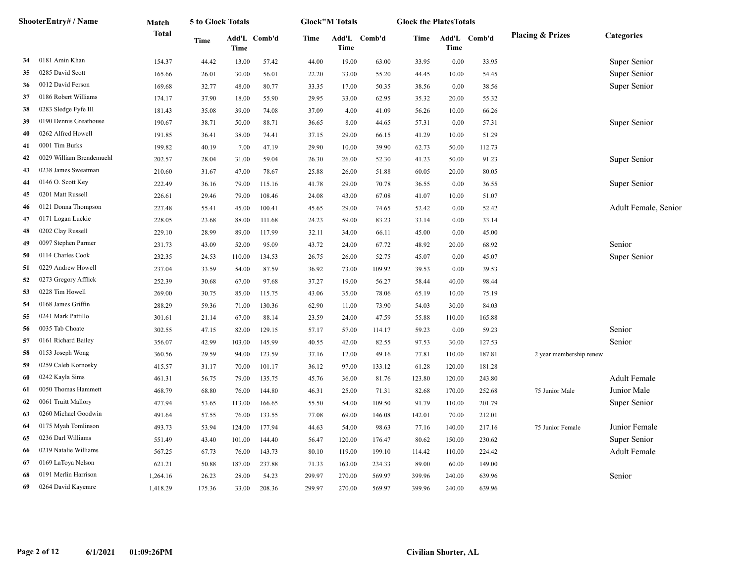|    | ShooterEntry# / Name     | Match        | 5 to Glock Totals |                      |        |        | <b>Glock</b> "M Totals |              | <b>Glock the PlatesTotals</b> |        |              |                             |                      |
|----|--------------------------|--------------|-------------------|----------------------|--------|--------|------------------------|--------------|-------------------------------|--------|--------------|-----------------------------|----------------------|
|    | 0181 Amin Khan           | <b>Total</b> | Time              | Add'L Comb'd<br>Time |        | Time   | Time                   | Add'L Comb'd | Time                          | Time   | Add'L Comb'd | <b>Placing &amp; Prizes</b> | <b>Categories</b>    |
| 34 |                          | 154.37       | 44.42             | 13.00                | 57.42  | 44.00  | 19.00                  | 63.00        | 33.95                         | 0.00   | 33.95        |                             | Super Senior         |
| 35 | 0285 David Scott         | 165.66       | 26.01             | 30.00                | 56.01  | 22.20  | 33.00                  | 55.20        | 44.45                         | 10.00  | 54.45        |                             | Super Senior         |
| 36 | 0012 David Ferson        | 169.68       | 32.77             | 48.00                | 80.77  | 33.35  | 17.00                  | 50.35        | 38.56                         | 0.00   | 38.56        |                             | Super Senior         |
| 37 | 0186 Robert Williams     | 174.17       | 37.90             | 18.00                | 55.90  | 29.95  | 33.00                  | 62.95        | 35.32                         | 20.00  | 55.32        |                             |                      |
| 38 | 0283 Sledge Fyfe III     | 181.43       | 35.08             | 39.00                | 74.08  | 37.09  | 4.00                   | 41.09        | 56.26                         | 10.00  | 66.26        |                             |                      |
| 39 | 0190 Dennis Greathouse   | 190.67       | 38.71             | 50.00                | 88.71  | 36.65  | 8.00                   | 44.65        | 57.31                         | 0.00   | 57.31        |                             | Super Senior         |
| 40 | 0262 Alfred Howell       | 191.85       | 36.41             | 38.00                | 74.41  | 37.15  | 29.00                  | 66.15        | 41.29                         | 10.00  | 51.29        |                             |                      |
| 41 | 0001 Tim Burks           | 199.82       | 40.19             | 7.00                 | 47.19  | 29.90  | 10.00                  | 39.90        | 62.73                         | 50.00  | 112.73       |                             |                      |
| 42 | 0029 William Brendemuehl | 202.57       | 28.04             | 31.00                | 59.04  | 26.30  | 26.00                  | 52.30        | 41.23                         | 50.00  | 91.23        |                             | Super Senior         |
| 43 | 0238 James Sweatman      | 210.60       | 31.67             | 47.00                | 78.67  | 25.88  | 26.00                  | 51.88        | 60.05                         | 20.00  | 80.05        |                             |                      |
| 44 | 0146 O. Scott Key        | 222.49       | 36.16             | 79.00                | 115.16 | 41.78  | 29.00                  | 70.78        | 36.55                         | 0.00   | 36.55        |                             | Super Senior         |
| 45 | 0201 Matt Russell        | 226.61       | 29.46             | 79.00                | 108.46 | 24.08  | 43.00                  | 67.08        | 41.07                         | 10.00  | 51.07        |                             |                      |
| 46 | 0121 Donna Thompson      | 227.48       | 55.41             | 45.00                | 100.41 | 45.65  | 29.00                  | 74.65        | 52.42                         | 0.00   | 52.42        |                             | Adult Female, Senior |
| 47 | 0171 Logan Luckie        | 228.05       | 23.68             | 88.00                | 111.68 | 24.23  | 59.00                  | 83.23        | 33.14                         | 0.00   | 33.14        |                             |                      |
| 48 | 0202 Clay Russell        | 229.10       | 28.99             | 89.00                | 117.99 | 32.11  | 34.00                  | 66.11        | 45.00                         | 0.00   | 45.00        |                             |                      |
| 49 | 0097 Stephen Parmer      | 231.73       | 43.09             | 52.00                | 95.09  | 43.72  | 24.00                  | 67.72        | 48.92                         | 20.00  | 68.92        |                             | Senior               |
| 50 | 0114 Charles Cook        | 232.35       | 24.53             | 110.00               | 134.53 | 26.75  | 26.00                  | 52.75        | 45.07                         | 0.00   | 45.07        |                             | Super Senior         |
| 51 | 0229 Andrew Howell       | 237.04       | 33.59             | 54.00                | 87.59  | 36.92  | 73.00                  | 109.92       | 39.53                         | 0.00   | 39.53        |                             |                      |
| 52 | 0273 Gregory Afflick     | 252.39       | 30.68             | 67.00                | 97.68  | 37.27  | 19.00                  | 56.27        | 58.44                         | 40.00  | 98.44        |                             |                      |
| 53 | 0228 Tim Howell          | 269.00       | 30.75             | 85.00                | 115.75 | 43.06  | 35.00                  | 78.06        | 65.19                         | 10.00  | 75.19        |                             |                      |
| 54 | 0168 James Griffin       | 288.29       | 59.36             | 71.00                | 130.36 | 62.90  | 11.00                  | 73.90        | 54.03                         | 30.00  | 84.03        |                             |                      |
| 55 | 0241 Mark Pattillo       | 301.61       | 21.14             | 67.00                | 88.14  | 23.59  | 24.00                  | 47.59        | 55.88                         | 110.00 | 165.88       |                             |                      |
| 56 | 0035 Tab Choate          | 302.55       | 47.15             | 82.00                | 129.15 | 57.17  | 57.00                  | 114.17       | 59.23                         | 0.00   | 59.23        |                             | Senior               |
| 57 | 0161 Richard Bailey      | 356.07       | 42.99             | 103.00               | 145.99 | 40.55  | 42.00                  | 82.55        | 97.53                         | 30.00  | 127.53       |                             | Senior               |
| 58 | 0153 Joseph Wong         | 360.56       | 29.59             | 94.00                | 123.59 | 37.16  | 12.00                  | 49.16        | 77.81                         | 110.00 | 187.81       | 2 year membership renew     |                      |
| 59 | 0259 Caleb Kornosky      | 415.57       | 31.17             | 70.00                | 101.17 | 36.12  | 97.00                  | 133.12       | 61.28                         | 120.00 | 181.28       |                             |                      |
| 60 | 0242 Kayla Sims          | 461.31       | 56.75             | 79.00                | 135.75 | 45.76  | 36.00                  | 81.76        | 123.80                        | 120.00 | 243.80       |                             | <b>Adult Female</b>  |
| 61 | 0050 Thomas Hammett      | 468.79       | 68.80             | 76.00                | 144.80 | 46.31  | 25.00                  | 71.31        | 82.68                         | 170.00 | 252.68       | 75 Junior Male              | Junior Male          |
| 62 | 0061 Truitt Mallory      | 477.94       | 53.65             | 113.00               | 166.65 | 55.50  | 54.00                  | 109.50       | 91.79                         | 110.00 | 201.79       |                             | Super Senior         |
| 63 | 0260 Michael Goodwin     | 491.64       | 57.55             | 76.00                | 133.55 | 77.08  | 69.00                  | 146.08       | 142.01                        | 70.00  | 212.01       |                             |                      |
| 64 | 0175 Myah Tomlinson      | 493.73       | 53.94             | 124.00               | 177.94 | 44.63  | 54.00                  | 98.63        | 77.16                         | 140.00 | 217.16       | 75 Junior Female            | Junior Female        |
| 65 | 0236 Darl Williams       | 551.49       | 43.40             | 101.00               | 144.40 | 56.47  | 120.00                 | 176.47       | 80.62                         | 150.00 | 230.62       |                             | Super Senior         |
| 66 | 0219 Natalie Williams    | 567.25       | 67.73             | 76.00                | 143.73 | 80.10  | 119.00                 | 199.10       | 114.42                        | 110.00 | 224.42       |                             | <b>Adult Female</b>  |
| 67 | 0169 LaToya Nelson       | 621.21       | 50.88             | 187.00               | 237.88 | 71.33  | 163.00                 | 234.33       | 89.00                         | 60.00  | 149.00       |                             |                      |
| 68 | 0191 Merlin Harrison     | 1,264.16     | 26.23             | 28.00                | 54.23  | 299.97 | 270.00                 | 569.97       | 399.96                        | 240.00 | 639.96       |                             | Senior               |
| 69 | 0264 David Kayemre       | 1,418.29     | 175.36            | 33.00                | 208.36 | 299.97 | 270.00                 | 569.97       | 399.96                        | 240.00 | 639.96       |                             |                      |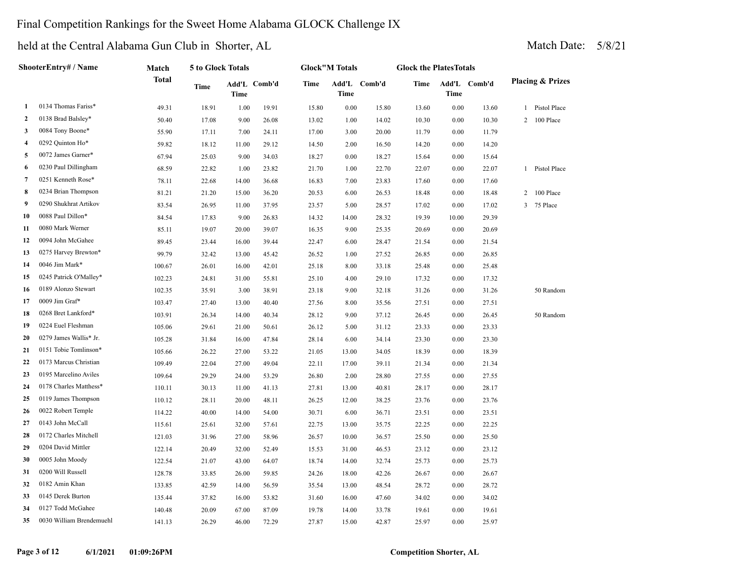### Final Competition Rankings for the Sweet Home Alabama GLOCK Challenge IX

|                | ShooterEntry# / Name     | Match        | 5 to Glock Totals |       |              |       | <b>Glock"M Totals</b> |              | <b>Glock the PlatesTotals</b> |             |              |                             |
|----------------|--------------------------|--------------|-------------------|-------|--------------|-------|-----------------------|--------------|-------------------------------|-------------|--------------|-----------------------------|
|                |                          | <b>Total</b> | Time              | Time  | Add'L Comb'd | Time  | Time                  | Add'L Comb'd | Time                          | <b>Time</b> | Add'L Comb'd | <b>Placing &amp; Prizes</b> |
| 1              | 0134 Thomas Fariss*      | 49.31        | 18.91             | 1.00  | 19.91        | 15.80 | 0.00                  | 15.80        | 13.60                         | 0.00        | 13.60        | 1 Pistol Place              |
| $\overline{2}$ | 0138 Brad Balsley*       | 50.40        | 17.08             | 9.00  | 26.08        | 13.02 | 1.00                  | 14.02        | 10.30                         | 0.00        | 10.30        | 2 100 Place                 |
| 3              | 0084 Tony Boone*         | 55.90        | 17.11             | 7.00  | 24.11        | 17.00 | 3.00                  | 20.00        | 11.79                         | 0.00        | 11.79        |                             |
| 4              | 0292 Quinton Ho*         | 59.82        | 18.12             | 11.00 | 29.12        | 14.50 | 2.00                  | 16.50        | 14.20                         | 0.00        | 14.20        |                             |
| 5              | 0072 James Garner*       | 67.94        | 25.03             | 9.00  | 34.03        | 18.27 | 0.00                  | 18.27        | 15.64                         | 0.00        | 15.64        |                             |
| 6              | 0230 Paul Dillingham     | 68.59        | 22.82             | 1.00  | 23.82        | 21.70 | 1.00                  | 22.70        | 22.07                         | 0.00        | 22.07        | 1 Pistol Place              |
| 7              | 0251 Kenneth Rose*       | 78.11        | 22.68             | 14.00 | 36.68        | 16.83 | 7.00                  | 23.83        | 17.60                         | 0.00        | 17.60        |                             |
| 8              | 0234 Brian Thompson      | 81.21        | 21.20             | 15.00 | 36.20        | 20.53 | 6.00                  | 26.53        | 18.48                         | 0.00        | 18.48        | 2 100 Place                 |
| 9              | 0290 Shukhrat Artikov    | 83.54        | 26.95             | 11.00 | 37.95        | 23.57 | 5.00                  | 28.57        | 17.02                         | 0.00        | 17.02        | 3 75 Place                  |
| 10             | 0088 Paul Dillon*        | 84.54        | 17.83             | 9.00  | 26.83        | 14.32 | 14.00                 | 28.32        | 19.39                         | 10.00       | 29.39        |                             |
| 11             | 0080 Mark Werner         | 85.11        | 19.07             | 20.00 | 39.07        | 16.35 | 9.00                  | 25.35        | 20.69                         | 0.00        | 20.69        |                             |
| 12             | 0094 John McGahee        | 89.45        | 23.44             | 16.00 | 39.44        | 22.47 | 6.00                  | 28.47        | 21.54                         | 0.00        | 21.54        |                             |
| 13             | 0275 Harvey Brewton*     | 99.79        | 32.42             | 13.00 | 45.42        | 26.52 | 1.00                  | 27.52        | 26.85                         | 0.00        | 26.85        |                             |
| 14             | 0046 Jim Mark*           | 100.67       | 26.01             | 16.00 | 42.01        | 25.18 | 8.00                  | 33.18        | 25.48                         | 0.00        | 25.48        |                             |
| 15             | 0245 Patrick O'Malley*   | 102.23       | 24.81             | 31.00 | 55.81        | 25.10 | 4.00                  | 29.10        | 17.32                         | 0.00        | 17.32        |                             |
| 16             | 0189 Alonzo Stewart      | 102.35       | 35.91             | 3.00  | 38.91        | 23.18 | 9.00                  | 32.18        | 31.26                         | 0.00        | 31.26        | 50 Random                   |
| 17             | 0009 Jim Graf*           | 103.47       | 27.40             | 13.00 | 40.40        | 27.56 | 8.00                  | 35.56        | 27.51                         | 0.00        | 27.51        |                             |
| 18             | 0268 Bret Lankford*      | 103.91       | 26.34             | 14.00 | 40.34        | 28.12 | 9.00                  | 37.12        | 26.45                         | 0.00        | 26.45        | 50 Random                   |
| 19             | 0224 Euel Fleshman       | 105.06       | 29.61             | 21.00 | 50.61        | 26.12 | 5.00                  | 31.12        | 23.33                         | 0.00        | 23.33        |                             |
| 20             | 0279 James Wallis* Jr.   | 105.28       | 31.84             | 16.00 | 47.84        | 28.14 | 6.00                  | 34.14        | 23.30                         | 0.00        | 23.30        |                             |
| 21             | 0151 Tobie Tomlinson*    | 105.66       | 26.22             | 27.00 | 53.22        | 21.05 | 13.00                 | 34.05        | 18.39                         | 0.00        | 18.39        |                             |
| 22             | 0173 Marcus Christian    | 109.49       | 22.04             | 27.00 | 49.04        | 22.11 | 17.00                 | 39.11        | 21.34                         | 0.00        | 21.34        |                             |
| 23             | 0195 Marcelino Aviles    | 109.64       | 29.29             | 24.00 | 53.29        | 26.80 | 2.00                  | 28.80        | 27.55                         | 0.00        | 27.55        |                             |
| 24             | 0178 Charles Matthess*   | 110.11       | 30.13             | 11.00 | 41.13        | 27.81 | 13.00                 | 40.81        | 28.17                         | 0.00        | 28.17        |                             |
| 25             | 0119 James Thompson      | 110.12       | 28.11             | 20.00 | 48.11        | 26.25 | 12.00                 | 38.25        | 23.76                         | 0.00        | 23.76        |                             |
| 26             | 0022 Robert Temple       | 114.22       | 40.00             | 14.00 | 54.00        | 30.71 | 6.00                  | 36.71        | 23.51                         | 0.00        | 23.51        |                             |
| 27             | 0143 John McCall         | 115.61       | 25.61             | 32.00 | 57.61        | 22.75 | 13.00                 | 35.75        | 22.25                         | 0.00        | 22.25        |                             |
| 28             | 0172 Charles Mitchell    | 121.03       | 31.96             | 27.00 | 58.96        | 26.57 | 10.00                 | 36.57        | 25.50                         | 0.00        | 25.50        |                             |
| 29             | 0204 David Mittler       | 122.14       | 20.49             | 32.00 | 52.49        | 15.53 | 31.00                 | 46.53        | 23.12                         | 0.00        | 23.12        |                             |
| 30             | 0005 John Moody          | 122.54       | 21.07             | 43.00 | 64.07        | 18.74 | 14.00                 | 32.74        | 25.73                         | 0.00        | 25.73        |                             |
| 31             | 0200 Will Russell        | 128.78       | 33.85             | 26.00 | 59.85        | 24.26 | 18.00                 | 42.26        | 26.67                         | 0.00        | 26.67        |                             |
| 32             | 0182 Amin Khan           | 133.85       | 42.59             | 14.00 | 56.59        | 35.54 | 13.00                 | 48.54        | 28.72                         | 0.00        | 28.72        |                             |
| 33             | 0145 Derek Burton        | 135.44       | 37.82             | 16.00 | 53.82        | 31.60 | 16.00                 | 47.60        | 34.02                         | 0.00        | 34.02        |                             |
| 34             | 0127 Todd McGahee        | 140.48       | 20.09             | 67.00 | 87.09        | 19.78 | 14.00                 | 33.78        | 19.61                         | 0.00        | 19.61        |                             |
| 35             | 0030 William Brendemuehl | 141.13       | 26.29             | 46.00 | 72.29        | 27.87 | 15.00                 | 42.87        | 25.97                         | 0.00        | 25.97        |                             |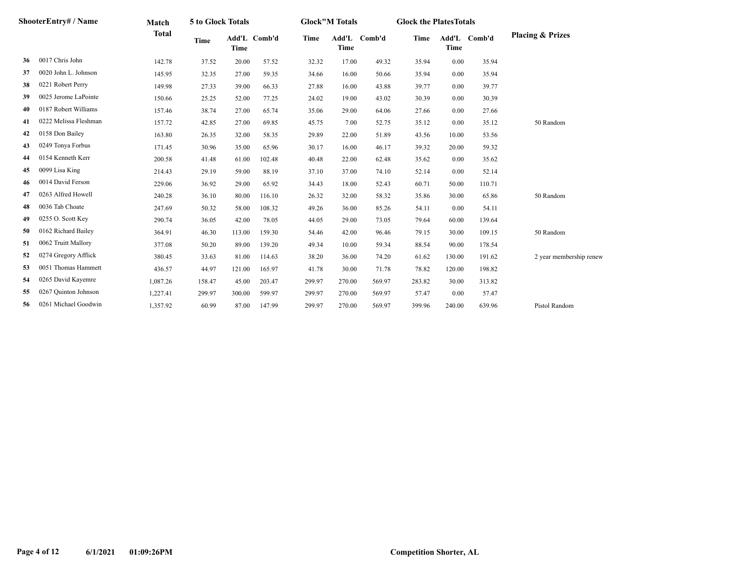|    | ShooterEntry# / Name  | Match        | 5 to Glock Totals |             |              |        | <b>Glock</b> "M Totals |              | <b>Glock the PlatesTotals</b> |             |              |                             |
|----|-----------------------|--------------|-------------------|-------------|--------------|--------|------------------------|--------------|-------------------------------|-------------|--------------|-----------------------------|
|    |                       | <b>Total</b> | <b>Time</b>       | <b>Time</b> | Add'L Comb'd | Time   | <b>Time</b>            | Add'L Comb'd | Time                          | <b>Time</b> | Add'L Comb'd | <b>Placing &amp; Prizes</b> |
| 36 | 0017 Chris John       | 142.78       | 37.52             | 20.00       | 57.52        | 32.32  | 17.00                  | 49.32        | 35.94                         | 0.00        | 35.94        |                             |
| 37 | 0020 John L. Johnson  | 145.95       | 32.35             | 27.00       | 59.35        | 34.66  | 16.00                  | 50.66        | 35.94                         | 0.00        | 35.94        |                             |
| 38 | 0221 Robert Perry     | 149.98       | 27.33             | 39.00       | 66.33        | 27.88  | 16.00                  | 43.88        | 39.77                         | 0.00        | 39.77        |                             |
| 39 | 0025 Jerome LaPointe  | 150.66       | 25.25             | 52.00       | 77.25        | 24.02  | 19.00                  | 43.02        | 30.39                         | 0.00        | 30.39        |                             |
| 40 | 0187 Robert Williams  | 157.46       | 38.74             | 27.00       | 65.74        | 35.06  | 29.00                  | 64.06        | 27.66                         | 0.00        | 27.66        |                             |
| 41 | 0222 Melissa Fleshman | 157.72       | 42.85             | 27.00       | 69.85        | 45.75  | 7.00                   | 52.75        | 35.12                         | 0.00        | 35.12        | 50 Random                   |
| 42 | 0158 Don Bailey       | 163.80       | 26.35             | 32.00       | 58.35        | 29.89  | 22.00                  | 51.89        | 43.56                         | 10.00       | 53.56        |                             |
| 43 | 0249 Tonya Forbus     | 171.45       | 30.96             | 35.00       | 65.96        | 30.17  | 16.00                  | 46.17        | 39.32                         | 20.00       | 59.32        |                             |
| 44 | 0154 Kenneth Kerr     | 200.58       | 41.48             | 61.00       | 102.48       | 40.48  | 22.00                  | 62.48        | 35.62                         | 0.00        | 35.62        |                             |
| 45 | 0099 Lisa King        | 214.43       | 29.19             | 59.00       | 88.19        | 37.10  | 37.00                  | 74.10        | 52.14                         | 0.00        | 52.14        |                             |
| 46 | 0014 David Ferson     | 229.06       | 36.92             | 29.00       | 65.92        | 34.43  | 18.00                  | 52.43        | 60.71                         | 50.00       | 110.71       |                             |
| 47 | 0263 Alfred Howell    | 240.28       | 36.10             | 80.00       | 116.10       | 26.32  | 32.00                  | 58.32        | 35.86                         | 30.00       | 65.86        | 50 Random                   |
| 48 | 0036 Tab Choate       | 247.69       | 50.32             | 58.00       | 108.32       | 49.26  | 36.00                  | 85.26        | 54.11                         | 0.00        | 54.11        |                             |
| 49 | 0255 O. Scott Key     | 290.74       | 36.05             | 42.00       | 78.05        | 44.05  | 29.00                  | 73.05        | 79.64                         | 60.00       | 139.64       |                             |
| 50 | 0162 Richard Bailey   | 364.91       | 46.30             | 113.00      | 159.30       | 54.46  | 42.00                  | 96.46        | 79.15                         | 30.00       | 109.15       | 50 Random                   |
| 51 | 0062 Truitt Mallory   | 377.08       | 50.20             | 89.00       | 139.20       | 49.34  | 10.00                  | 59.34        | 88.54                         | 90.00       | 178.54       |                             |
| 52 | 0274 Gregory Afflick  | 380.45       | 33.63             | 81.00       | 114.63       | 38.20  | 36.00                  | 74.20        | 61.62                         | 130.00      | 191.62       | 2 year membership renew     |
| 53 | 0051 Thomas Hammett   | 436.57       | 44.97             | 121.00      | 165.97       | 41.78  | 30.00                  | 71.78        | 78.82                         | 120.00      | 198.82       |                             |
| 54 | 0265 David Kayemre    | 1,087.26     | 158.47            | 45.00       | 203.47       | 299.97 | 270.00                 | 569.97       | 283.82                        | 30.00       | 313.82       |                             |
| 55 | 0267 Quinton Johnson  | 1,227.41     | 299.97            | 300.00      | 599.97       | 299.97 | 270.00                 | 569.97       | 57.47                         | 0.00        | 57.47        |                             |
| 56 | 0261 Michael Goodwin  | 1,357.92     | 60.99             | 87.00       | 147.99       | 299.97 | 270.00                 | 569.97       | 399.96                        | 240.00      | 639.96       | Pistol Random               |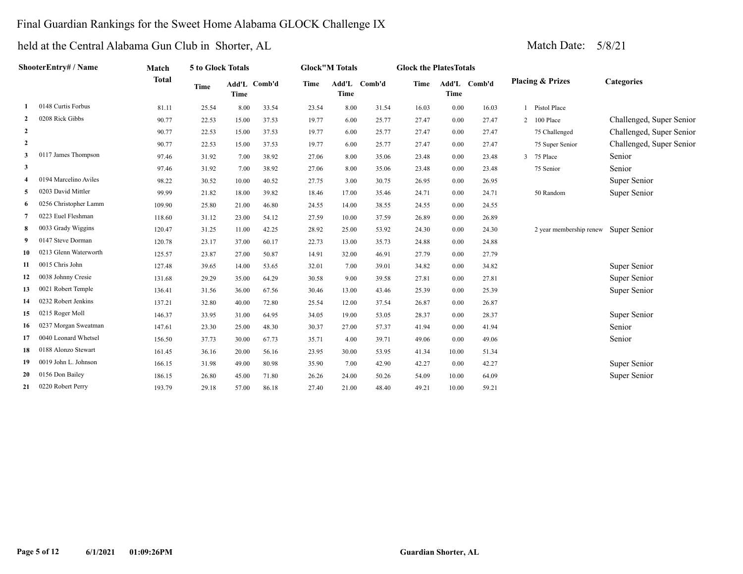## Final Guardian Rankings for the Sweet Home Alabama GLOCK Challenge IX

|                     | ShooterEntry# / Name  | Match        | 5 to Glock Totals |             |              |             | <b>Glock</b> "M Totals |              | <b>Glock the PlatesTotals</b> |       |              |                                      |                          |
|---------------------|-----------------------|--------------|-------------------|-------------|--------------|-------------|------------------------|--------------|-------------------------------|-------|--------------|--------------------------------------|--------------------------|
|                     |                       | <b>Total</b> | <b>Time</b>       | <b>Time</b> | Add'L Comb'd | <b>Time</b> | <b>Time</b>            | Add'L Comb'd | Time                          | Time  | Add'L Comb'd | <b>Placing &amp; Prizes</b>          | <b>Categories</b>        |
|                     | 0148 Curtis Forbus    | 81.11        | 25.54             | 8.00        | 33.54        | 23.54       | 8.00                   | 31.54        | 16.03                         | 0.00  | 16.03        | Pistol Place                         |                          |
| $\overline{2}$      | 0208 Rick Gibbs       | 90.77        | 22.53             | 15.00       | 37.53        | 19.77       | 6.00                   | 25.77        | 27.47                         | 0.00  | 27.47        | 2 100 Place                          | Challenged, Super Senior |
| $\overline{2}$      |                       | 90.77        | 22.53             | 15.00       | 37.53        | 19.77       | 6.00                   | 25.77        | 27.47                         | 0.00  | 27.47        | 75 Challenged                        | Challenged, Super Senior |
| $\overline{2}$      |                       | 90.77        | 22.53             | 15.00       | 37.53        | 19.77       | 6.00                   | 25.77        | 27.47                         | 0.00  | 27.47        | 75 Super Senior                      | Challenged, Super Senior |
| 3                   | 0117 James Thompson   | 97.46        | 31.92             | 7.00        | 38.92        | 27.06       | 8.00                   | 35.06        | 23.48                         | 0.00  | 23.48        | 3 75 Place                           | Senior                   |
| 3                   |                       | 97.46        | 31.92             | 7.00        | 38.92        | 27.06       | 8.00                   | 35.06        | 23.48                         | 0.00  | 23.48        | 75 Senior                            | Senior                   |
| $\overline{\bf{4}}$ | 0194 Marcelino Aviles | 98.22        | 30.52             | 10.00       | 40.52        | 27.75       | 3.00                   | 30.75        | 26.95                         | 0.00  | 26.95        |                                      | Super Senior             |
| 5                   | 0203 David Mittler    | 99.99        | 21.82             | 18.00       | 39.82        | 18.46       | 17.00                  | 35.46        | 24.71                         | 0.00  | 24.71        | 50 Random                            | Super Senior             |
| -6                  | 0256 Christopher Lamm | 109.90       | 25.80             | 21.00       | 46.80        | 24.55       | 14.00                  | 38.55        | 24.55                         | 0.00  | 24.55        |                                      |                          |
|                     | 0223 Euel Fleshman    | 118.60       | 31.12             | 23.00       | 54.12        | 27.59       | 10.00                  | 37.59        | 26.89                         | 0.00  | 26.89        |                                      |                          |
| -8                  | 0033 Grady Wiggins    | 120.47       | 31.25             | 11.00       | 42.25        | 28.92       | 25.00                  | 53.92        | 24.30                         | 0.00  | 24.30        | 2 year membership renew Super Senior |                          |
| 9                   | 0147 Steve Dorman     | 120.78       | 23.17             | 37.00       | 60.17        | 22.73       | 13.00                  | 35.73        | 24.88                         | 0.00  | 24.88        |                                      |                          |
| 10                  | 0213 Glenn Waterworth | 125.57       | 23.87             | 27.00       | 50.87        | 14.91       | 32.00                  | 46.91        | 27.79                         | 0.00  | 27.79        |                                      |                          |
| 11                  | 0015 Chris John       | 127.48       | 39.65             | 14.00       | 53.65        | 32.01       | 7.00                   | 39.01        | 34.82                         | 0.00  | 34.82        |                                      | Super Senior             |
| 12                  | 0038 Johnny Cresie    | 131.68       | 29.29             | 35.00       | 64.29        | 30.58       | 9.00                   | 39.58        | 27.81                         | 0.00  | 27.81        |                                      | Super Senior             |
| 13                  | 0021 Robert Temple    | 136.41       | 31.56             | 36.00       | 67.56        | 30.46       | 13.00                  | 43.46        | 25.39                         | 0.00  | 25.39        |                                      | Super Senior             |
| 14                  | 0232 Robert Jenkins   | 137.21       | 32.80             | 40.00       | 72.80        | 25.54       | 12.00                  | 37.54        | 26.87                         | 0.00  | 26.87        |                                      |                          |
| 15                  | 0215 Roger Moll       | 146.37       | 33.95             | 31.00       | 64.95        | 34.05       | 19.00                  | 53.05        | 28.37                         | 0.00  | 28.37        |                                      | Super Senior             |
| 16                  | 0237 Morgan Sweatman  | 147.61       | 23.30             | 25.00       | 48.30        | 30.37       | 27.00                  | 57.37        | 41.94                         | 0.00  | 41.94        |                                      | Senior                   |
| 17                  | 0040 Leonard Whetsel  | 156.50       | 37.73             | 30.00       | 67.73        | 35.71       | 4.00                   | 39.71        | 49.06                         | 0.00  | 49.06        |                                      | Senior                   |
| 18                  | 0188 Alonzo Stewart   | 161.45       | 36.16             | 20.00       | 56.16        | 23.95       | 30.00                  | 53.95        | 41.34                         | 10.00 | 51.34        |                                      |                          |
| 19                  | 0019 John L. Johnson  | 166.15       | 31.98             | 49.00       | 80.98        | 35.90       | 7.00                   | 42.90        | 42.27                         | 0.00  | 42.27        |                                      | Super Senior             |
| 20                  | 0156 Don Bailey       | 186.15       | 26.80             | 45.00       | 71.80        | 26.26       | 24.00                  | 50.26        | 54.09                         | 10.00 | 64.09        |                                      | Super Senior             |
| 21                  | 0220 Robert Perry     | 193.79       | 29.18             | 57.00       | 86.18        | 27.40       | 21.00                  | 48.40        | 49.21                         | 10.00 | 59.21        |                                      |                          |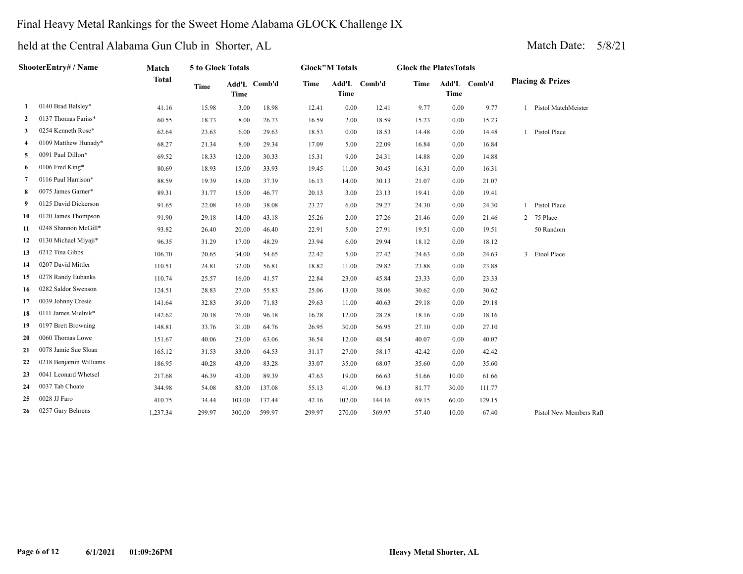### Final Heavy Metal Rankings for the Sweet Home Alabama GLOCK Challenge IX

|                | ShooterEntry# / Name   | Match        | 5 to Glock Totals |             |              |        | <b>Glock</b> "M Totals |              | <b>Glock the PlatesTotals</b> |       |              |                              |
|----------------|------------------------|--------------|-------------------|-------------|--------------|--------|------------------------|--------------|-------------------------------|-------|--------------|------------------------------|
|                |                        | <b>Total</b> | Time              | <b>Time</b> | Add'L Comb'd | Time   | Time                   | Add'L Comb'd | Time                          | Time  | Add'L Comb'd | <b>Placing &amp; Prizes</b>  |
| 1              | 0140 Brad Balsley*     | 41.16        | 15.98             | 3.00        | 18.98        | 12.41  | 0.00                   | 12.41        | 9.77                          | 0.00  | 9.77         | 1 Pistol MatchMeister        |
| $\overline{2}$ | 0137 Thomas Fariss*    | 60.55        | 18.73             | 8.00        | 26.73        | 16.59  | 2.00                   | 18.59        | 15.23                         | 0.00  | 15.23        |                              |
| 3              | 0254 Kenneth Rose*     | 62.64        | 23.63             | 6.00        | 29.63        | 18.53  | 0.00                   | 18.53        | 14.48                         | 0.00  | 14.48        | Pistol Place<br>$\mathbf{1}$ |
| 4              | 0109 Matthew Hunady*   | 68.27        | 21.34             | 8.00        | 29.34        | 17.09  | 5.00                   | 22.09        | 16.84                         | 0.00  | 16.84        |                              |
| 5              | 0091 Paul Dillon*      | 69.52        | 18.33             | 12.00       | 30.33        | 15.31  | 9.00                   | 24.31        | 14.88                         | 0.00  | 14.88        |                              |
| 6              | 0106 Fred King*        | 80.69        | 18.93             | 15.00       | 33.93        | 19.45  | 11.00                  | 30.45        | 16.31                         | 0.00  | 16.31        |                              |
| 7              | 0116 Paul Harrison*    | 88.59        | 19.39             | 18.00       | 37.39        | 16.13  | 14.00                  | 30.13        | 21.07                         | 0.00  | 21.07        |                              |
| 8              | 0075 James Garner*     | 89.31        | 31.77             | 15.00       | 46.77        | 20.13  | 3.00                   | 23.13        | 19.41                         | 0.00  | 19.41        |                              |
| 9              | 0125 David Dickerson   | 91.65        | 22.08             | 16.00       | 38.08        | 23.27  | 6.00                   | 29.27        | 24.30                         | 0.00  | 24.30        | Pistol Place<br>$\mathbf{1}$ |
| 10             | 0120 James Thompson    | 91.90        | 29.18             | 14.00       | 43.18        | 25.26  | 2.00                   | 27.26        | 21.46                         | 0.00  | 21.46        | 75 Place<br>$\overline{2}$   |
| 11             | 0248 Shannon McGill*   | 93.82        | 26.40             | 20.00       | 46.40        | 22.91  | 5.00                   | 27.91        | 19.51                         | 0.00  | 19.51        | 50 Random                    |
| 12             | 0130 Michael Miyaji*   | 96.35        | 31.29             | 17.00       | 48.29        | 23.94  | 6.00                   | 29.94        | 18.12                         | 0.00  | 18.12        |                              |
| 13             | 0212 Tina Gibbs        | 106.70       | 20.65             | 34.00       | 54.65        | 22.42  | 5.00                   | 27.42        | 24.63                         | 0.00  | 24.63        | 3 Etool Place                |
| 14             | 0207 David Mittler     | 110.51       | 24.81             | 32.00       | 56.81        | 18.82  | 11.00                  | 29.82        | 23.88                         | 0.00  | 23.88        |                              |
| 15             | 0278 Randy Eubanks     | 110.74       | 25.57             | 16.00       | 41.57        | 22.84  | 23.00                  | 45.84        | 23.33                         | 0.00  | 23.33        |                              |
| 16             | 0282 Saldor Swenson    | 124.51       | 28.83             | 27.00       | 55.83        | 25.06  | 13.00                  | 38.06        | 30.62                         | 0.00  | 30.62        |                              |
| 17             | 0039 Johnny Cresie     | 141.64       | 32.83             | 39.00       | 71.83        | 29.63  | 11.00                  | 40.63        | 29.18                         | 0.00  | 29.18        |                              |
| 18             | 0111 James Mielnik*    | 142.62       | 20.18             | 76.00       | 96.18        | 16.28  | 12.00                  | 28.28        | 18.16                         | 0.00  | 18.16        |                              |
| 19             | 0197 Brett Browning    | 148.81       | 33.76             | 31.00       | 64.76        | 26.95  | 30.00                  | 56.95        | 27.10                         | 0.00  | 27.10        |                              |
| 20             | 0060 Thomas Lowe       | 151.67       | 40.06             | 23.00       | 63.06        | 36.54  | 12.00                  | 48.54        | 40.07                         | 0.00  | 40.07        |                              |
| 21             | 0078 Jamie Sue Sloan   | 165.12       | 31.53             | 33.00       | 64.53        | 31.17  | 27.00                  | 58.17        | 42.42                         | 0.00  | 42.42        |                              |
| 22             | 0218 Benjamin Williams | 186.95       | 40.28             | 43.00       | 83.28        | 33.07  | 35.00                  | 68.07        | 35.60                         | 0.00  | 35.60        |                              |
| 23             | 0041 Leonard Whetsel   | 217.68       | 46.39             | 43.00       | 89.39        | 47.63  | 19.00                  | 66.63        | 51.66                         | 10.00 | 61.66        |                              |
| 24             | 0037 Tab Choate        | 344.98       | 54.08             | 83.00       | 137.08       | 55.13  | 41.00                  | 96.13        | 81.77                         | 30.00 | 111.77       |                              |
| 25             | 0028 JJ Faro           | 410.75       | 34.44             | 103.00      | 137.44       | 42.16  | 102.00                 | 144.16       | 69.15                         | 60.00 | 129.15       |                              |
| 26             | 0257 Gary Behrens      | 1,237.34     | 299.97            | 300.00      | 599.97       | 299.97 | 270.00                 | 569.97       | 57.40                         | 10.00 | 67.40        | Pistol New Members Raft      |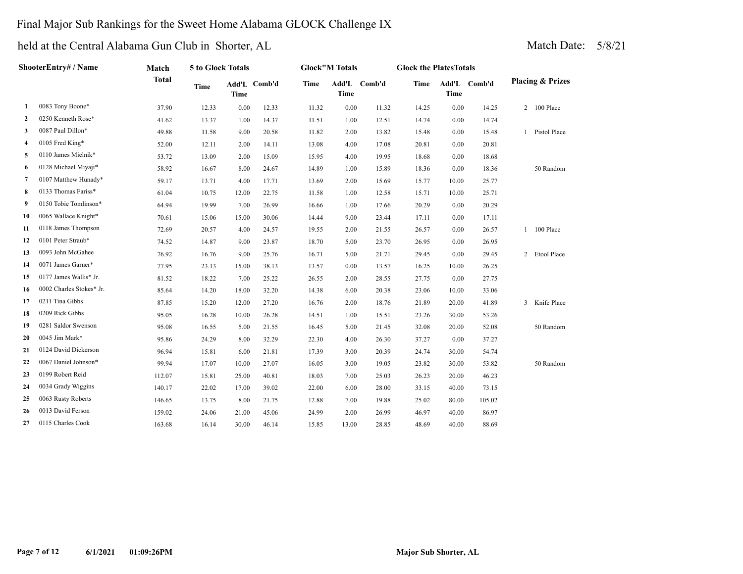## Final Major Sub Rankings for the Sweet Home Alabama GLOCK Challenge IX

| ShooterEntry# / Name |                          | Match        | 5 to Glock Totals |             |              | <b>Glock</b> "M Totals |       |              | <b>Glock the PlatesTotals</b> |             |              |                             |
|----------------------|--------------------------|--------------|-------------------|-------------|--------------|------------------------|-------|--------------|-------------------------------|-------------|--------------|-----------------------------|
|                      |                          | <b>Total</b> | <b>Time</b>       | <b>Time</b> | Add'L Comb'd | Time                   | Time  | Add'L Comb'd | <b>Time</b>                   | <b>Time</b> | Add'L Comb'd | <b>Placing &amp; Prizes</b> |
| 1                    | 0083 Tony Boone*         | 37.90        | 12.33             | 0.00        | 12.33        | 11.32                  | 0.00  | 11.32        | 14.25                         | 0.00        | 14.25        | 2 100 Place                 |
| $\mathbf{2}$         | 0250 Kenneth Rose*       | 41.62        | 13.37             | 1.00        | 14.37        | 11.51                  | 1.00  | 12.51        | 14.74                         | 0.00        | 14.74        |                             |
| 3                    | 0087 Paul Dillon*        | 49.88        | 11.58             | 9.00        | 20.58        | 11.82                  | 2.00  | 13.82        | 15.48                         | 0.00        | 15.48        | 1 Pistol Place              |
| 4                    | 0105 Fred King*          | 52.00        | 12.11             | 2.00        | 14.11        | 13.08                  | 4.00  | 17.08        | 20.81                         | 0.00        | 20.81        |                             |
| 5                    | 0110 James Mielnik*      | 53.72        | 13.09             | 2.00        | 15.09        | 15.95                  | 4.00  | 19.95        | 18.68                         | 0.00        | 18.68        |                             |
| 6                    | 0128 Michael Miyaji*     | 58.92        | 16.67             | 8.00        | 24.67        | 14.89                  | 1.00  | 15.89        | 18.36                         | 0.00        | 18.36        | 50 Random                   |
| 7                    | 0107 Matthew Hunady*     | 59.17        | 13.71             | 4.00        | 17.71        | 13.69                  | 2.00  | 15.69        | 15.77                         | 10.00       | 25.77        |                             |
| 8                    | 0133 Thomas Fariss*      | 61.04        | 10.75             | 12.00       | 22.75        | 11.58                  | 1.00  | 12.58        | 15.71                         | 10.00       | 25.71        |                             |
| 9                    | 0150 Tobie Tomlinson*    | 64.94        | 19.99             | 7.00        | 26.99        | 16.66                  | 1.00  | 17.66        | 20.29                         | 0.00        | 20.29        |                             |
| 10                   | 0065 Wallace Knight*     | 70.61        | 15.06             | 15.00       | 30.06        | 14.44                  | 9.00  | 23.44        | 17.11                         | 0.00        | 17.11        |                             |
| 11                   | 0118 James Thompson      | 72.69        | 20.57             | 4.00        | 24.57        | 19.55                  | 2.00  | 21.55        | 26.57                         | 0.00        | 26.57        | 100 Place<br>$1^-$          |
| 12                   | 0101 Peter Straub*       | 74.52        | 14.87             | 9.00        | 23.87        | 18.70                  | 5.00  | 23.70        | 26.95                         | 0.00        | 26.95        |                             |
| 13                   | 0093 John McGahee        | 76.92        | 16.76             | 9.00        | 25.76        | 16.71                  | 5.00  | 21.71        | 29.45                         | 0.00        | 29.45        | 2 Etool Place               |
| 14                   | 0071 James Garner*       | 77.95        | 23.13             | 15.00       | 38.13        | 13.57                  | 0.00  | 13.57        | 16.25                         | 10.00       | 26.25        |                             |
| 15                   | 0177 James Wallis* Jr.   | 81.52        | 18.22             | 7.00        | 25.22        | 26.55                  | 2.00  | 28.55        | 27.75                         | 0.00        | 27.75        |                             |
| 16                   | 0002 Charles Stokes* Jr. | 85.64        | 14.20             | 18.00       | 32.20        | 14.38                  | 6.00  | 20.38        | 23.06                         | 10.00       | 33.06        |                             |
| 17                   | 0211 Tina Gibbs          | 87.85        | 15.20             | 12.00       | 27.20        | 16.76                  | 2.00  | 18.76        | 21.89                         | 20.00       | 41.89        | 3 Knife Place               |
| 18                   | 0209 Rick Gibbs          | 95.05        | 16.28             | 10.00       | 26.28        | 14.51                  | 1.00  | 15.51        | 23.26                         | 30.00       | 53.26        |                             |
| 19                   | 0281 Saldor Swenson      | 95.08        | 16.55             | 5.00        | 21.55        | 16.45                  | 5.00  | 21.45        | 32.08                         | 20.00       | 52.08        | 50 Random                   |
| 20                   | 0045 Jim Mark*           | 95.86        | 24.29             | 8.00        | 32.29        | 22.30                  | 4.00  | 26.30        | 37.27                         | 0.00        | 37.27        |                             |
| 21                   | 0124 David Dickerson     | 96.94        | 15.81             | 6.00        | 21.81        | 17.39                  | 3.00  | 20.39        | 24.74                         | 30.00       | 54.74        |                             |
| 22                   | 0067 Daniel Johnson*     | 99.94        | 17.07             | 10.00       | 27.07        | 16.05                  | 3.00  | 19.05        | 23.82                         | 30.00       | 53.82        | 50 Random                   |
| 23                   | 0199 Robert Reid         | 112.07       | 15.81             | 25.00       | 40.81        | 18.03                  | 7.00  | 25.03        | 26.23                         | 20.00       | 46.23        |                             |
| 24                   | 0034 Grady Wiggins       | 140.17       | 22.02             | 17.00       | 39.02        | 22.00                  | 6.00  | 28.00        | 33.15                         | 40.00       | 73.15        |                             |
| 25                   | 0063 Rusty Roberts       | 146.65       | 13.75             | 8.00        | 21.75        | 12.88                  | 7.00  | 19.88        | 25.02                         | 80.00       | 105.02       |                             |
| 26                   | 0013 David Ferson        | 159.02       | 24.06             | 21.00       | 45.06        | 24.99                  | 2.00  | 26.99        | 46.97                         | 40.00       | 86.97        |                             |
| 27                   | 0115 Charles Cook        | 163.68       | 16.14             | 30.00       | 46.14        | 15.85                  | 13.00 | 28.85        | 48.69                         | 40.00       | 88.69        |                             |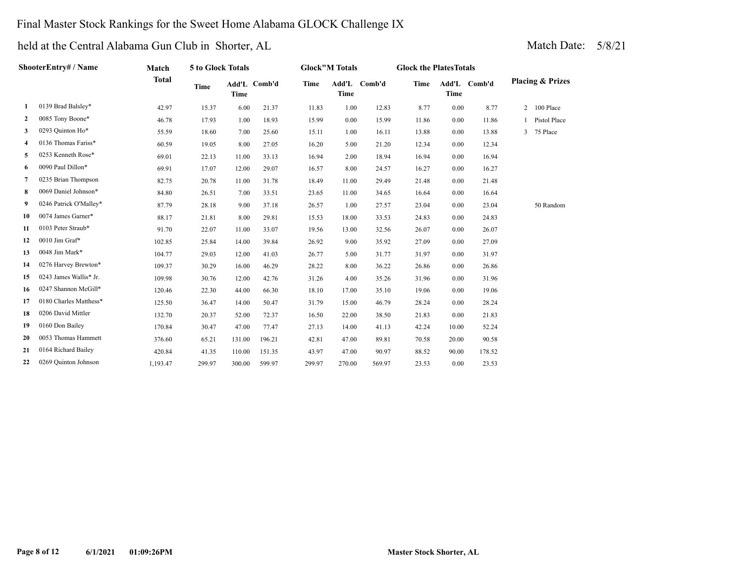### Final Master Stock Rankings for the Sweet Home Alabama GLOCK Challenge IX

| ShooterEntry# / Name |                        | Match        | 5 to Glock Totals |             |              |        | <b>Glock</b> "M Totals |        |             | <b>Glock the PlatesTotals</b> |              |   |                             |
|----------------------|------------------------|--------------|-------------------|-------------|--------------|--------|------------------------|--------|-------------|-------------------------------|--------------|---|-----------------------------|
|                      |                        | <b>Total</b> | <b>Time</b>       | <b>Time</b> | Add'L Comb'd | Time   | Add'L<br>Time          | Comb'd | <b>Time</b> | <b>Time</b>                   | Add'L Comb'd |   | <b>Placing &amp; Prizes</b> |
| 1                    | 0139 Brad Balsley*     | 42.97        | 15.37             | 6.00        | 21.37        | 11.83  | 1.00                   | 12.83  | 8.77        | 0.00                          | 8.77         | 2 | 100 Place                   |
| $\mathbf{2}$         | 0085 Tony Boone*       | 46.78        | 17.93             | 1.00        | 18.93        | 15.99  | 0.00                   | 15.99  | 11.86       | 0.00                          | 11.86        |   | Pistol Place                |
| 3                    | 0293 Quinton Ho*       | 55.59        | 18.60             | 7.00        | 25.60        | 15.11  | 1.00                   | 16.11  | 13.88       | 0.00                          | 13.88        | 3 | 75 Place                    |
| 4                    | 0136 Thomas Fariss*    | 60.59        | 19.05             | 8.00        | 27.05        | 16.20  | 5.00                   | 21.20  | 12.34       | 0.00                          | 12.34        |   |                             |
| 5                    | 0253 Kenneth Rose*     | 69.01        | 22.13             | 11.00       | 33.13        | 16.94  | 2.00                   | 18.94  | 16.94       | 0.00                          | 16.94        |   |                             |
| 6                    | 0090 Paul Dillon*      | 69.91        | 17.07             | 12.00       | 29.07        | 16.57  | 8.00                   | 24.57  | 16.27       | 0.00                          | 16.27        |   |                             |
| 7                    | 0235 Brian Thompson    | 82.75        | 20.78             | 11.00       | 31.78        | 18.49  | 11.00                  | 29.49  | 21.48       | 0.00                          | 21.48        |   |                             |
| 8                    | 0069 Daniel Johnson*   | 84.80        | 26.51             | 7.00        | 33.51        | 23.65  | 11.00                  | 34.65  | 16.64       | 0.00                          | 16.64        |   |                             |
| 9                    | 0246 Patrick O'Malley* | 87.79        | 28.18             | 9.00        | 37.18        | 26.57  | 1.00                   | 27.57  | 23.04       | 0.00                          | 23.04        |   | 50 Random                   |
| 10                   | 0074 James Garner*     | 88.17        | 21.81             | 8.00        | 29.81        | 15.53  | 18.00                  | 33.53  | 24.83       | 0.00                          | 24.83        |   |                             |
| 11                   | 0103 Peter Straub*     | 91.70        | 22.07             | 11.00       | 33.07        | 19.56  | 13.00                  | 32.56  | 26.07       | 0.00                          | 26.07        |   |                             |
| 12                   | 0010 Jim Graf*         | 102.85       | 25.84             | 14.00       | 39.84        | 26.92  | 9.00                   | 35.92  | 27.09       | 0.00                          | 27.09        |   |                             |
| 13                   | 0048 Jim Mark*         | 104.77       | 29.03             | 12.00       | 41.03        | 26.77  | 5.00                   | 31.77  | 31.97       | 0.00                          | 31.97        |   |                             |
| 14                   | 0276 Harvey Brewton*   | 109.37       | 30.29             | 16.00       | 46.29        | 28.22  | 8.00                   | 36.22  | 26.86       | 0.00                          | 26.86        |   |                             |
| 15                   | 0243 James Wallis* Jr. | 109.98       | 30.76             | 12.00       | 42.76        | 31.26  | 4.00                   | 35.26  | 31.96       | 0.00                          | 31.96        |   |                             |
| 16                   | 0247 Shannon McGill*   | 120.46       | 22.30             | 44.00       | 66.30        | 18.10  | 17.00                  | 35.10  | 19.06       | 0.00                          | 19.06        |   |                             |
| 17                   | 0180 Charles Matthess* | 125.50       | 36.47             | 14.00       | 50.47        | 31.79  | 15.00                  | 46.79  | 28.24       | 0.00                          | 28.24        |   |                             |
| 18                   | 0206 David Mittler     | 132.70       | 20.37             | 52.00       | 72.37        | 16.50  | 22.00                  | 38.50  | 21.83       | 0.00                          | 21.83        |   |                             |
| 19                   | 0160 Don Bailey        | 170.84       | 30.47             | 47.00       | 77.47        | 27.13  | 14.00                  | 41.13  | 42.24       | 10.00                         | 52.24        |   |                             |
| 20                   | 0053 Thomas Hammett    | 376.60       | 65.21             | 131.00      | 196.21       | 42.81  | 47.00                  | 89.81  | 70.58       | 20.00                         | 90.58        |   |                             |
| 21                   | 0164 Richard Bailey    | 420.84       | 41.35             | 110.00      | 151.35       | 43.97  | 47.00                  | 90.97  | 88.52       | 90.00                         | 178.52       |   |                             |
| 22                   | 0269 Quinton Johnson   | 1,193.47     | 299.97            | 300.00      | 599.97       | 299.97 | 270.00                 | 569.97 | 23.53       | 0.00                          | 23.53        |   |                             |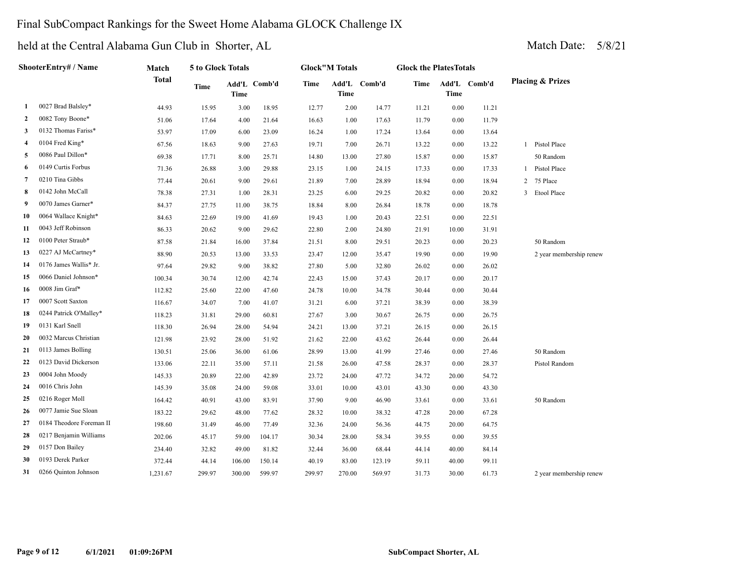### Final SubCompact Rankings for the Sweet Home Alabama GLOCK Challenge IX

|    | ShooterEntry# / Name     | Match        | 5 to Glock Totals |                             |        |        | <b>Glock"M Totals</b> |              | <b>Glock the PlatesTotals</b> |             |              |                             |
|----|--------------------------|--------------|-------------------|-----------------------------|--------|--------|-----------------------|--------------|-------------------------------|-------------|--------------|-----------------------------|
|    |                          | <b>Total</b> | <b>Time</b>       | Add'L Comb'd<br><b>Time</b> |        | Time   | <b>Time</b>           | Add'L Comb'd | Time                          | <b>Time</b> | Add'L Comb'd | <b>Placing &amp; Prizes</b> |
| 1  | 0027 Brad Balsley*       | 44.93        | 15.95             | 3.00                        | 18.95  | 12.77  | 2.00                  | 14.77        | 11.21                         | 0.00        | 11.21        |                             |
| 2  | 0082 Tony Boone*         | 51.06        | 17.64             | 4.00                        | 21.64  | 16.63  | 1.00                  | 17.63        | 11.79                         | $0.00\,$    | 11.79        |                             |
| 3  | 0132 Thomas Fariss*      | 53.97        | 17.09             | 6.00                        | 23.09  | 16.24  | 1.00                  | 17.24        | 13.64                         | 0.00        | 13.64        |                             |
| 4  | 0104 Fred King*          | 67.56        | 18.63             | 9.00                        | 27.63  | 19.71  | 7.00                  | 26.71        | 13.22                         | 0.00        | 13.22        | 1 Pistol Place              |
| 5  | 0086 Paul Dillon*        | 69.38        | 17.71             | 8.00                        | 25.71  | 14.80  | 13.00                 | 27.80        | 15.87                         | 0.00        | 15.87        | 50 Random                   |
| 6  | 0149 Curtis Forbus       | 71.36        | 26.88             | 3.00                        | 29.88  | 23.15  | 1.00                  | 24.15        | 17.33                         | 0.00        | 17.33        | Pistol Place                |
| 7  | 0210 Tina Gibbs          | 77.44        | 20.61             | 9.00                        | 29.61  | 21.89  | 7.00                  | 28.89        | 18.94                         | 0.00        | 18.94        | 75 Place<br>2               |
| 8  | 0142 John McCall         | 78.38        | 27.31             | 1.00                        | 28.31  | 23.25  | 6.00                  | 29.25        | 20.82                         | 0.00        | 20.82        | 3 Etool Place               |
| 9  | 0070 James Garner*       | 84.37        | 27.75             | 11.00                       | 38.75  | 18.84  | 8.00                  | 26.84        | 18.78                         | 0.00        | 18.78        |                             |
| 10 | 0064 Wallace Knight*     | 84.63        | 22.69             | 19.00                       | 41.69  | 19.43  | 1.00                  | 20.43        | 22.51                         | 0.00        | 22.51        |                             |
| 11 | 0043 Jeff Robinson       | 86.33        | 20.62             | 9.00                        | 29.62  | 22.80  | 2.00                  | 24.80        | 21.91                         | 10.00       | 31.91        |                             |
| 12 | 0100 Peter Straub*       | 87.58        | 21.84             | 16.00                       | 37.84  | 21.51  | 8.00                  | 29.51        | 20.23                         | 0.00        | 20.23        | 50 Random                   |
| 13 | 0227 AJ McCartney*       | 88.90        | 20.53             | 13.00                       | 33.53  | 23.47  | 12.00                 | 35.47        | 19.90                         | 0.00        | 19.90        | 2 year membership renew     |
| 14 | 0176 James Wallis* Jr.   | 97.64        | 29.82             | 9.00                        | 38.82  | 27.80  | 5.00                  | 32.80        | 26.02                         | 0.00        | 26.02        |                             |
| 15 | 0066 Daniel Johnson*     | 100.34       | 30.74             | 12.00                       | 42.74  | 22.43  | 15.00                 | 37.43        | 20.17                         | 0.00        | 20.17        |                             |
| 16 | 0008 Jim Graf*           | 112.82       | 25.60             | 22.00                       | 47.60  | 24.78  | 10.00                 | 34.78        | 30.44                         | 0.00        | 30.44        |                             |
| 17 | 0007 Scott Saxton        | 116.67       | 34.07             | 7.00                        | 41.07  | 31.21  | 6.00                  | 37.21        | 38.39                         | 0.00        | 38.39        |                             |
| 18 | 0244 Patrick O'Malley*   | 118.23       | 31.81             | 29.00                       | 60.81  | 27.67  | 3.00                  | 30.67        | 26.75                         | 0.00        | 26.75        |                             |
| 19 | 0131 Karl Snell          | 118.30       | 26.94             | 28.00                       | 54.94  | 24.21  | 13.00                 | 37.21        | 26.15                         | 0.00        | 26.15        |                             |
| 20 | 0032 Marcus Christian    | 121.98       | 23.92             | 28.00                       | 51.92  | 21.62  | 22.00                 | 43.62        | 26.44                         | 0.00        | 26.44        |                             |
| 21 | 0113 James Bolling       | 130.51       | 25.06             | 36.00                       | 61.06  | 28.99  | 13.00                 | 41.99        | 27.46                         | 0.00        | 27.46        | 50 Random                   |
| 22 | 0123 David Dickerson     | 133.06       | 22.11             | 35.00                       | 57.11  | 21.58  | 26.00                 | 47.58        | 28.37                         | 0.00        | 28.37        | Pistol Random               |
| 23 | 0004 John Moody          | 145.33       | 20.89             | 22.00                       | 42.89  | 23.72  | 24.00                 | 47.72        | 34.72                         | 20.00       | 54.72        |                             |
| 24 | 0016 Chris John          | 145.39       | 35.08             | 24.00                       | 59.08  | 33.01  | 10.00                 | 43.01        | 43.30                         | 0.00        | 43.30        |                             |
| 25 | 0216 Roger Moll          | 164.42       | 40.91             | 43.00                       | 83.91  | 37.90  | 9.00                  | 46.90        | 33.61                         | 0.00        | 33.61        | 50 Random                   |
| 26 | 0077 Jamie Sue Sloan     | 183.22       | 29.62             | 48.00                       | 77.62  | 28.32  | 10.00                 | 38.32        | 47.28                         | 20.00       | 67.28        |                             |
| 27 | 0184 Theodore Foreman II | 198.60       | 31.49             | 46.00                       | 77.49  | 32.36  | 24.00                 | 56.36        | 44.75                         | 20.00       | 64.75        |                             |
| 28 | 0217 Benjamin Williams   | 202.06       | 45.17             | 59.00                       | 104.17 | 30.34  | 28.00                 | 58.34        | 39.55                         | 0.00        | 39.55        |                             |
| 29 | 0157 Don Bailey          | 234.40       | 32.82             | 49.00                       | 81.82  | 32.44  | 36.00                 | 68.44        | 44.14                         | 40.00       | 84.14        |                             |
| 30 | 0193 Derek Parker        | 372.44       | 44.14             | 106.00                      | 150.14 | 40.19  | 83.00                 | 123.19       | 59.11                         | 40.00       | 99.11        |                             |
| 31 | 0266 Quinton Johnson     | 1,231.67     | 299.97            | 300.00                      | 599.97 | 299.97 | 270.00                | 569.97       | 31.73                         | 30.00       | 61.73        | 2 year membership renew     |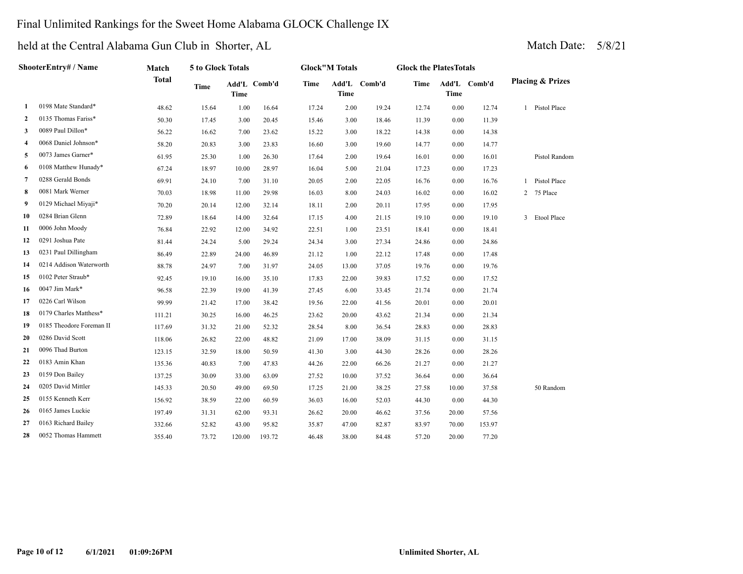### Final Unlimited Rankings for the Sweet Home Alabama GLOCK Challenge IX

| ShooterEntry# / Name |                          | Match        | 5 to Glock Totals |             |              | <b>Glock</b> "M Totals |             |              | <b>Glock the PlatesTotals</b> |             |              |                             |  |
|----------------------|--------------------------|--------------|-------------------|-------------|--------------|------------------------|-------------|--------------|-------------------------------|-------------|--------------|-----------------------------|--|
|                      |                          | <b>Total</b> | <b>Time</b>       | <b>Time</b> | Add'L Comb'd | <b>Time</b>            | <b>Time</b> | Add'L Comb'd | <b>Time</b>                   | <b>Time</b> | Add'L Comb'd | <b>Placing &amp; Prizes</b> |  |
| 1                    | 0198 Mate Standard*      | 48.62        | 15.64             | 1.00        | 16.64        | 17.24                  | 2.00        | 19.24        | 12.74                         | 0.00        | 12.74        | 1 Pistol Place              |  |
| 2                    | 0135 Thomas Fariss*      | 50.30        | 17.45             | 3.00        | 20.45        | 15.46                  | 3.00        | 18.46        | 11.39                         | 0.00        | 11.39        |                             |  |
| 3                    | 0089 Paul Dillon*        | 56.22        | 16.62             | 7.00        | 23.62        | 15.22                  | 3.00        | 18.22        | 14.38                         | 0.00        | 14.38        |                             |  |
| 4                    | 0068 Daniel Johnson*     | 58.20        | 20.83             | 3.00        | 23.83        | 16.60                  | 3.00        | 19.60        | 14.77                         | 0.00        | 14.77        |                             |  |
| 5                    | 0073 James Garner*       | 61.95        | 25.30             | 1.00        | 26.30        | 17.64                  | 2.00        | 19.64        | 16.01                         | 0.00        | 16.01        | Pistol Random               |  |
| 6                    | 0108 Matthew Hunady*     | 67.24        | 18.97             | 10.00       | 28.97        | 16.04                  | 5.00        | 21.04        | 17.23                         | 0.00        | 17.23        |                             |  |
| 7                    | 0288 Gerald Bonds        | 69.91        | 24.10             | 7.00        | 31.10        | 20.05                  | 2.00        | 22.05        | 16.76                         | 0.00        | 16.76        | Pistol Place                |  |
| 8                    | 0081 Mark Werner         | 70.03        | 18.98             | 11.00       | 29.98        | 16.03                  | 8.00        | 24.03        | 16.02                         | 0.00        | 16.02        | 2 75 Place                  |  |
| 9                    | 0129 Michael Miyaji*     | 70.20        | 20.14             | 12.00       | 32.14        | 18.11                  | 2.00        | 20.11        | 17.95                         | 0.00        | 17.95        |                             |  |
| 10                   | 0284 Brian Glenn         | 72.89        | 18.64             | 14.00       | 32.64        | 17.15                  | 4.00        | 21.15        | 19.10                         | 0.00        | 19.10        | 3 Etool Place               |  |
| 11                   | 0006 John Moody          | 76.84        | 22.92             | 12.00       | 34.92        | 22.51                  | 1.00        | 23.51        | 18.41                         | 0.00        | 18.41        |                             |  |
| 12                   | 0291 Joshua Pate         | 81.44        | 24.24             | 5.00        | 29.24        | 24.34                  | 3.00        | 27.34        | 24.86                         | 0.00        | 24.86        |                             |  |
| 13                   | 0231 Paul Dillingham     | 86.49        | 22.89             | 24.00       | 46.89        | 21.12                  | 1.00        | 22.12        | 17.48                         | 0.00        | 17.48        |                             |  |
| 14                   | 0214 Addison Waterworth  | 88.78        | 24.97             | 7.00        | 31.97        | 24.05                  | 13.00       | 37.05        | 19.76                         | 0.00        | 19.76        |                             |  |
| 15                   | 0102 Peter Straub*       | 92.45        | 19.10             | 16.00       | 35.10        | 17.83                  | 22.00       | 39.83        | 17.52                         | 0.00        | 17.52        |                             |  |
| 16                   | 0047 Jim Mark*           | 96.58        | 22.39             | 19.00       | 41.39        | 27.45                  | 6.00        | 33.45        | 21.74                         | 0.00        | 21.74        |                             |  |
| 17                   | 0226 Carl Wilson         | 99.99        | 21.42             | 17.00       | 38.42        | 19.56                  | 22.00       | 41.56        | 20.01                         | 0.00        | 20.01        |                             |  |
| 18                   | 0179 Charles Matthess*   | 111.21       | 30.25             | 16.00       | 46.25        | 23.62                  | 20.00       | 43.62        | 21.34                         | 0.00        | 21.34        |                             |  |
| 19                   | 0185 Theodore Foreman II | 117.69       | 31.32             | 21.00       | 52.32        | 28.54                  | 8.00        | 36.54        | 28.83                         | 0.00        | 28.83        |                             |  |
| 20                   | 0286 David Scott         | 118.06       | 26.82             | 22.00       | 48.82        | 21.09                  | 17.00       | 38.09        | 31.15                         | 0.00        | 31.15        |                             |  |
| 21                   | 0096 Thad Burton         | 123.15       | 32.59             | 18.00       | 50.59        | 41.30                  | 3.00        | 44.30        | 28.26                         | 0.00        | 28.26        |                             |  |
| 22                   | 0183 Amin Khan           | 135.36       | 40.83             | 7.00        | 47.83        | 44.26                  | 22.00       | 66.26        | 21.27                         | 0.00        | 21.27        |                             |  |
| 23                   | 0159 Don Bailey          | 137.25       | 30.09             | 33.00       | 63.09        | 27.52                  | 10.00       | 37.52        | 36.64                         | 0.00        | 36.64        |                             |  |
| 24                   | 0205 David Mittler       | 145.33       | 20.50             | 49.00       | 69.50        | 17.25                  | 21.00       | 38.25        | 27.58                         | 10.00       | 37.58        | 50 Random                   |  |
| 25                   | 0155 Kenneth Kerr        | 156.92       | 38.59             | 22.00       | 60.59        | 36.03                  | 16.00       | 52.03        | 44.30                         | 0.00        | 44.30        |                             |  |
| 26                   | 0165 James Luckie        | 197.49       | 31.31             | 62.00       | 93.31        | 26.62                  | 20.00       | 46.62        | 37.56                         | 20.00       | 57.56        |                             |  |
| 27                   | 0163 Richard Bailey      | 332.66       | 52.82             | 43.00       | 95.82        | 35.87                  | 47.00       | 82.87        | 83.97                         | 70.00       | 153.97       |                             |  |
| 28                   | 0052 Thomas Hammett      | 355.40       | 73.72             | 120.00      | 193.72       | 46.48                  | 38.00       | 84.48        | 57.20                         | 20.00       | 77.20        |                             |  |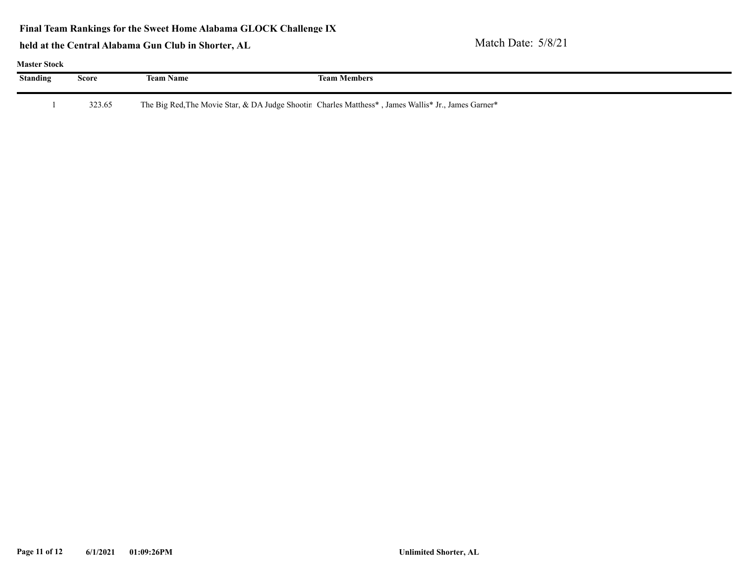**Final Team Rankings for the Sweet Home Alabama GLOCK Challenge IX**

| <b>Master Stock</b> |        |                  |                                                                                                     |  |  |  |  |  |  |  |  |  |
|---------------------|--------|------------------|-----------------------------------------------------------------------------------------------------|--|--|--|--|--|--|--|--|--|
| <b>Standing</b>     | Score  | <b>Team Name</b> | <b>Team Members</b>                                                                                 |  |  |  |  |  |  |  |  |  |
|                     | 323.65 |                  | The Big Red, The Movie Star, & DA Judge Shootin Charles Matthess*, James Wallis* Jr., James Garner* |  |  |  |  |  |  |  |  |  |